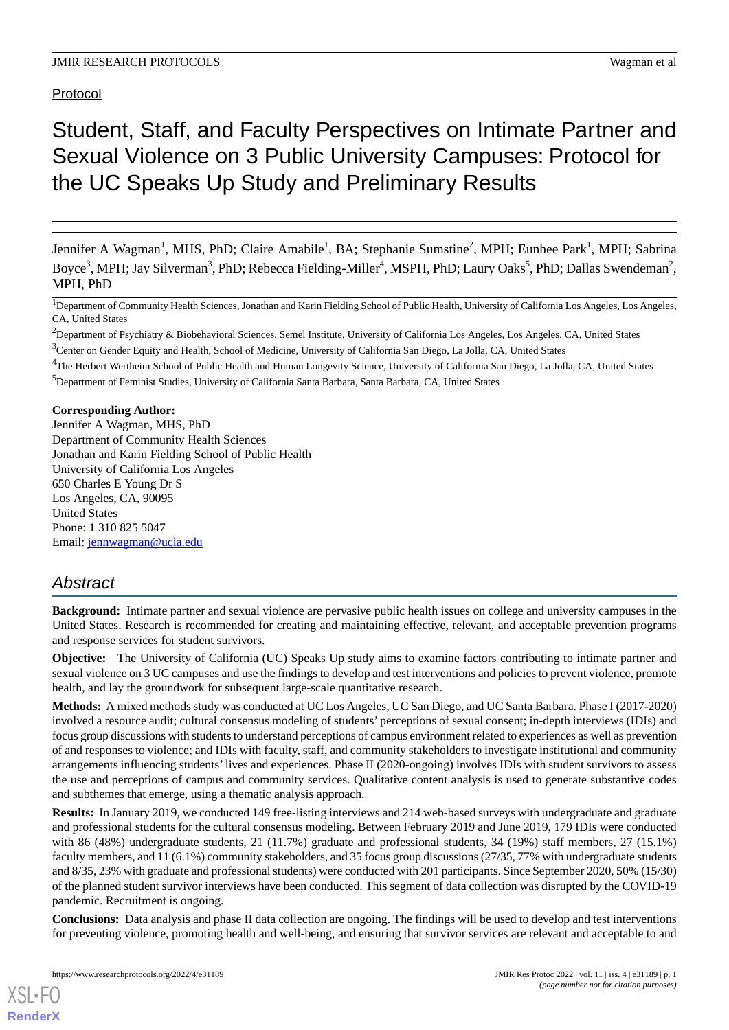# Protocol

# Student, Staff, and Faculty Perspectives on Intimate Partner and Sexual Violence on 3 Public University Campuses: Protocol for the UC Speaks Up Study and Preliminary Results

Jennifer A Wagman<sup>1</sup>, MHS, PhD; Claire Amabile<sup>1</sup>, BA; Stephanie Sumstine<sup>2</sup>, MPH; Eunhee Park<sup>1</sup>, MPH; Sabrina Boyce<sup>3</sup>, MPH; Jay Silverman<sup>3</sup>, PhD; Rebecca Fielding-Miller<sup>4</sup>, MSPH, PhD; Laury Oaks<sup>5</sup>, PhD; Dallas Swendeman<sup>2</sup>, MPH, PhD

<sup>1</sup>Department of Community Health Sciences, Jonathan and Karin Fielding School of Public Health, University of California Los Angeles, Los Angeles, CA, United States

<sup>2</sup>Department of Psychiatry & Biobehavioral Sciences, Semel Institute, University of California Los Angeles, Los Angeles, CA, United States <sup>3</sup>Center on Gender Equity and Health, School of Medicine, University of California San Diego, La Jolla, CA, United States

<sup>4</sup>The Herbert Wertheim School of Public Health and Human Longevity Science, University of California San Diego, La Jolla, CA, United States

<sup>5</sup>Department of Feminist Studies, University of California Santa Barbara, Santa Barbara, CA, United States

**Corresponding Author:**

Jennifer A Wagman, MHS, PhD Department of Community Health Sciences Jonathan and Karin Fielding School of Public Health University of California Los Angeles 650 Charles E Young Dr S Los Angeles, CA, 90095 United States Phone: 1 310 825 5047 Email: [jennwagman@ucla.edu](mailto:jennwagman@ucla.edu)

# *Abstract*

**Background:** Intimate partner and sexual violence are pervasive public health issues on college and university campuses in the United States. Research is recommended for creating and maintaining effective, relevant, and acceptable prevention programs and response services for student survivors.

**Objective:** The University of California (UC) Speaks Up study aims to examine factors contributing to intimate partner and sexual violence on 3 UC campuses and use the findings to develop and test interventions and policies to prevent violence, promote health, and lay the groundwork for subsequent large-scale quantitative research.

**Methods:** A mixed methods study was conducted at UC Los Angeles, UC San Diego, and UC Santa Barbara. Phase I (2017-2020) involved a resource audit; cultural consensus modeling of students' perceptions of sexual consent; in-depth interviews (IDIs) and focus group discussions with students to understand perceptions of campus environment related to experiences as well as prevention of and responses to violence; and IDIs with faculty, staff, and community stakeholders to investigate institutional and community arrangements influencing students'lives and experiences. Phase II (2020-ongoing) involves IDIs with student survivors to assess the use and perceptions of campus and community services. Qualitative content analysis is used to generate substantive codes and subthemes that emerge, using a thematic analysis approach.

**Results:** In January 2019, we conducted 149 free-listing interviews and 214 web-based surveys with undergraduate and graduate and professional students for the cultural consensus modeling. Between February 2019 and June 2019, 179 IDIs were conducted with 86 (48%) undergraduate students, 21 (11.7%) graduate and professional students, 34 (19%) staff members, 27 (15.1%) faculty members, and 11 (6.1%) community stakeholders, and 35 focus group discussions (27/35, 77% with undergraduate students and 8/35, 23% with graduate and professional students) were conducted with 201 participants. Since September 2020, 50% (15/30) of the planned student survivor interviews have been conducted. This segment of data collection was disrupted by the COVID-19 pandemic. Recruitment is ongoing.

**Conclusions:** Data analysis and phase II data collection are ongoing. The findings will be used to develop and test interventions for preventing violence, promoting health and well-being, and ensuring that survivor services are relevant and acceptable to and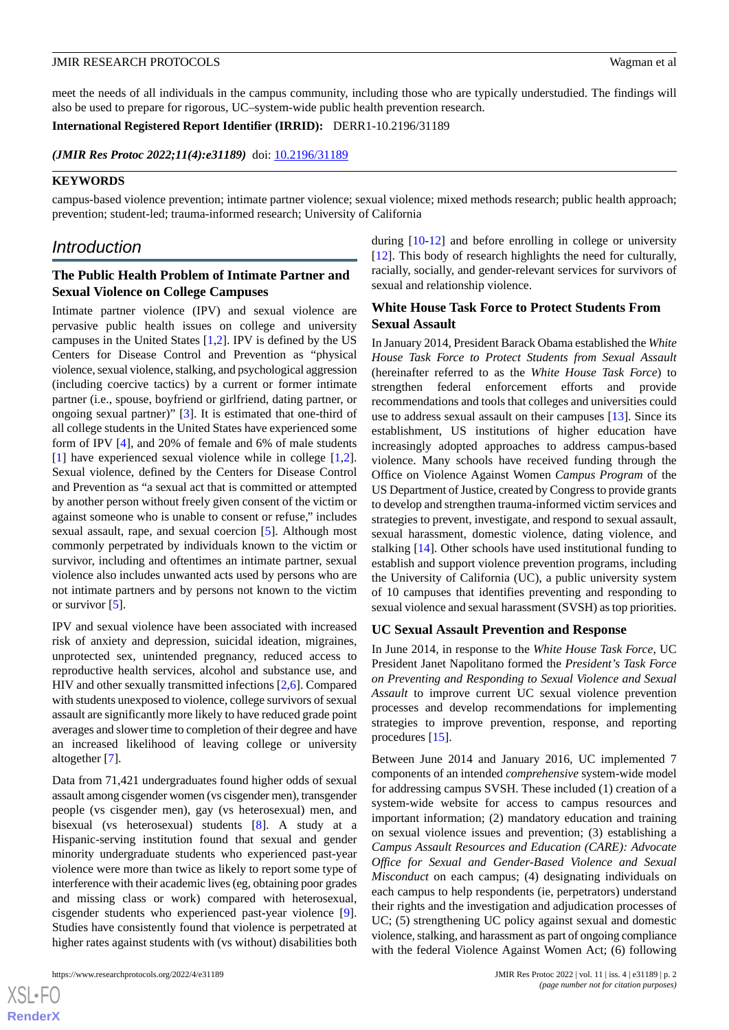meet the needs of all individuals in the campus community, including those who are typically understudied. The findings will also be used to prepare for rigorous, UC–system-wide public health prevention research.

**International Registered Report Identifier (IRRID):** DERR1-10.2196/31189

(JMIR Res Protoc 2022;11(4):e31189) doi: [10.2196/31189](http://dx.doi.org/10.2196/31189)

### **KEYWORDS**

campus-based violence prevention; intimate partner violence; sexual violence; mixed methods research; public health approach; prevention; student-led; trauma-informed research; University of California

# *Introduction*

# **The Public Health Problem of Intimate Partner and Sexual Violence on College Campuses**

Intimate partner violence (IPV) and sexual violence are pervasive public health issues on college and university campuses in the United States [\[1](#page-13-0),[2\]](#page-13-1). IPV is defined by the US Centers for Disease Control and Prevention as "physical violence, sexual violence, stalking, and psychological aggression (including coercive tactics) by a current or former intimate partner (i.e., spouse, boyfriend or girlfriend, dating partner, or ongoing sexual partner)" [[3\]](#page-13-2). It is estimated that one-third of all college students in the United States have experienced some form of IPV [\[4](#page-13-3)], and 20% of female and 6% of male students [[1\]](#page-13-0) have experienced sexual violence while in college [\[1](#page-13-0),[2\]](#page-13-1). Sexual violence, defined by the Centers for Disease Control and Prevention as "a sexual act that is committed or attempted by another person without freely given consent of the victim or against someone who is unable to consent or refuse," includes sexual assault, rape, and sexual coercion [\[5](#page-13-4)]. Although most commonly perpetrated by individuals known to the victim or survivor, including and oftentimes an intimate partner, sexual violence also includes unwanted acts used by persons who are not intimate partners and by persons not known to the victim or survivor [\[5](#page-13-4)].

IPV and sexual violence have been associated with increased risk of anxiety and depression, suicidal ideation, migraines, unprotected sex, unintended pregnancy, reduced access to reproductive health services, alcohol and substance use, and HIV and other sexually transmitted infections [\[2](#page-13-1),[6\]](#page-13-5). Compared with students unexposed to violence, college survivors of sexual assault are significantly more likely to have reduced grade point averages and slower time to completion of their degree and have an increased likelihood of leaving college or university altogether [\[7](#page-13-6)].

Data from 71,421 undergraduates found higher odds of sexual assault among cisgender women (vs cisgender men), transgender people (vs cisgender men), gay (vs heterosexual) men, and bisexual (vs heterosexual) students [\[8](#page-13-7)]. A study at a Hispanic-serving institution found that sexual and gender minority undergraduate students who experienced past-year violence were more than twice as likely to report some type of interference with their academic lives (eg, obtaining poor grades and missing class or work) compared with heterosexual, cisgender students who experienced past-year violence [[9\]](#page-13-8). Studies have consistently found that violence is perpetrated at higher rates against students with (vs without) disabilities both

during [\[10](#page-13-9)[-12](#page-13-10)] and before enrolling in college or university [[12\]](#page-13-10). This body of research highlights the need for culturally, racially, socially, and gender-relevant services for survivors of sexual and relationship violence.

# **White House Task Force to Protect Students From Sexual Assault**

In January 2014, President Barack Obama established the *White House Task Force to Protect Students from Sexual Assault* (hereinafter referred to as the *White House Task Force*) to strengthen federal enforcement efforts and provide recommendations and tools that colleges and universities could use to address sexual assault on their campuses [[13\]](#page-13-11). Since its establishment, US institutions of higher education have increasingly adopted approaches to address campus-based violence. Many schools have received funding through the Office on Violence Against Women *Campus Program* of the US Department of Justice, created by Congress to provide grants to develop and strengthen trauma-informed victim services and strategies to prevent, investigate, and respond to sexual assault, sexual harassment, domestic violence, dating violence, and stalking [\[14](#page-13-12)]. Other schools have used institutional funding to establish and support violence prevention programs, including the University of California (UC), a public university system of 10 campuses that identifies preventing and responding to sexual violence and sexual harassment (SVSH) as top priorities.

### **UC Sexual Assault Prevention and Response**

In June 2014, in response to the *White House Task Force*, UC President Janet Napolitano formed the *President's Task Force on Preventing and Responding to Sexual Violence and Sexual Assault* to improve current UC sexual violence prevention processes and develop recommendations for implementing strategies to improve prevention, response, and reporting procedures [\[15](#page-13-13)].

Between June 2014 and January 2016, UC implemented 7 components of an intended *comprehensive* system-wide model for addressing campus SVSH. These included (1) creation of a system-wide website for access to campus resources and important information; (2) mandatory education and training on sexual violence issues and prevention; (3) establishing a *Campus Assault Resources and Education (CARE): Advocate Office for Sexual and Gender-Based Violence and Sexual Misconduct* on each campus; (4) designating individuals on each campus to help respondents (ie, perpetrators) understand their rights and the investigation and adjudication processes of UC; (5) strengthening UC policy against sexual and domestic violence, stalking, and harassment as part of ongoing compliance with the federal Violence Against Women Act; (6) following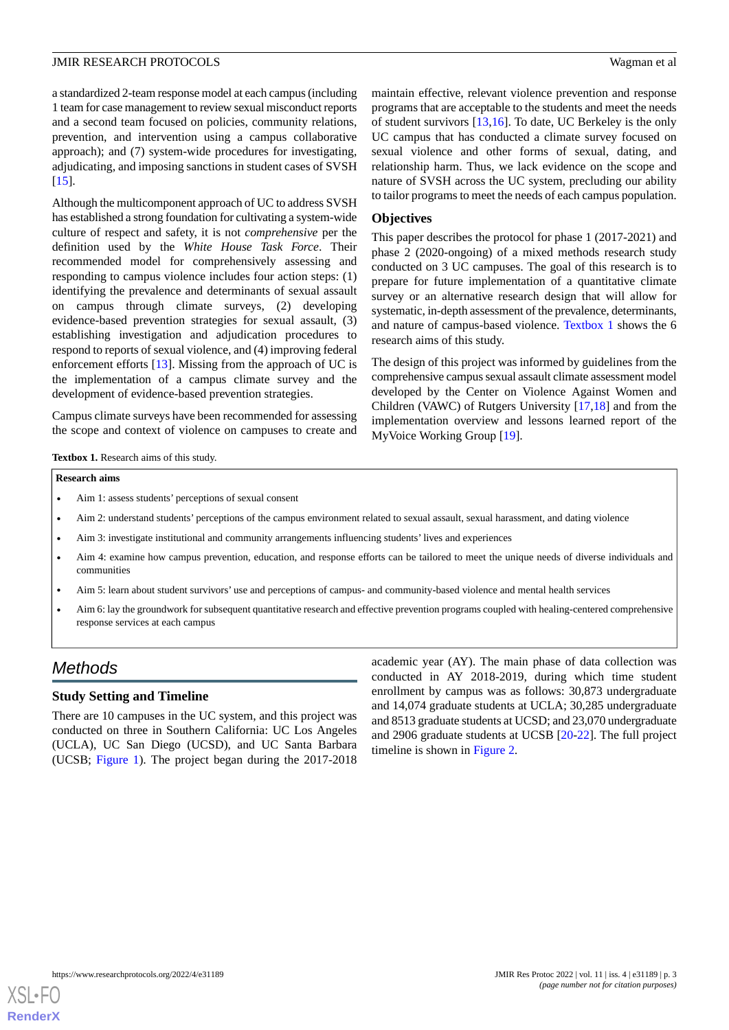a standardized 2-team response model at each campus (including 1 team for case management to review sexual misconduct reports and a second team focused on policies, community relations, prevention, and intervention using a campus collaborative approach); and (7) system-wide procedures for investigating, adjudicating, and imposing sanctions in student cases of SVSH [[15\]](#page-13-13).

Although the multicomponent approach of UC to address SVSH has established a strong foundation for cultivating a system-wide culture of respect and safety, it is not *comprehensive* per the definition used by the *White House Task Force*. Their recommended model for comprehensively assessing and responding to campus violence includes four action steps: (1) identifying the prevalence and determinants of sexual assault on campus through climate surveys, (2) developing evidence-based prevention strategies for sexual assault, (3) establishing investigation and adjudication procedures to respond to reports of sexual violence, and (4) improving federal enforcement efforts [\[13](#page-13-11)]. Missing from the approach of UC is the implementation of a campus climate survey and the development of evidence-based prevention strategies.

<span id="page-2-0"></span>Campus climate surveys have been recommended for assessing the scope and context of violence on campuses to create and maintain effective, relevant violence prevention and response programs that are acceptable to the students and meet the needs of student survivors [\[13](#page-13-11),[16\]](#page-13-14). To date, UC Berkeley is the only UC campus that has conducted a climate survey focused on sexual violence and other forms of sexual, dating, and relationship harm. Thus, we lack evidence on the scope and nature of SVSH across the UC system, precluding our ability to tailor programs to meet the needs of each campus population.

#### **Objectives**

This paper describes the protocol for phase 1 (2017-2021) and phase 2 (2020-ongoing) of a mixed methods research study conducted on 3 UC campuses. The goal of this research is to prepare for future implementation of a quantitative climate survey or an alternative research design that will allow for systematic, in-depth assessment of the prevalence, determinants, and nature of campus-based violence. [Textbox 1](#page-2-0) shows the 6 research aims of this study.

The design of this project was informed by guidelines from the comprehensive campus sexual assault climate assessment model developed by the Center on Violence Against Women and Children (VAWC) of Rutgers University [\[17](#page-13-15),[18\]](#page-13-16) and from the implementation overview and lessons learned report of the MyVoice Working Group [\[19](#page-13-17)].

Textbox 1. Research aims of this study.

#### **Research aims**

- Aim 1: assess students' perceptions of sexual consent
- Aim 2: understand students' perceptions of the campus environment related to sexual assault, sexual harassment, and dating violence
- Aim 3: investigate institutional and community arrangements influencing students' lives and experiences
- Aim 4: examine how campus prevention, education, and response efforts can be tailored to meet the unique needs of diverse individuals and communities
- Aim 5: learn about student survivors' use and perceptions of campus- and community-based violence and mental health services
- Aim 6: lay the groundwork for subsequent quantitative research and effective prevention programs coupled with healing-centered comprehensive response services at each campus

# *Methods*

### **Study Setting and Timeline**

There are 10 campuses in the UC system, and this project was conducted on three in Southern California: UC Los Angeles (UCLA), UC San Diego (UCSD), and UC Santa Barbara (UCSB; [Figure 1\)](#page-3-0). The project began during the 2017-2018

academic year (AY). The main phase of data collection was conducted in AY 2018-2019, during which time student enrollment by campus was as follows: 30,873 undergraduate and 14,074 graduate students at UCLA; 30,285 undergraduate and 8513 graduate students at UCSD; and 23,070 undergraduate and 2906 graduate students at UCSB [\[20](#page-13-18)-[22\]](#page-13-19). The full project timeline is shown in [Figure 2](#page-3-1).

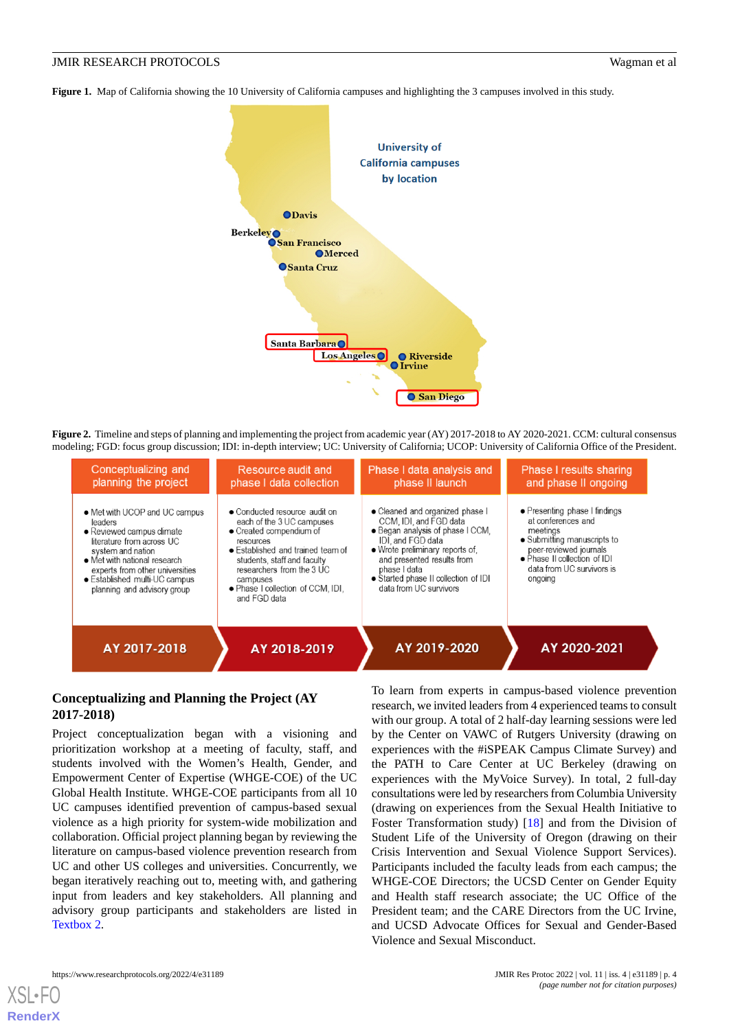<span id="page-3-0"></span>**Figure 1.** Map of California showing the 10 University of California campuses and highlighting the 3 campuses involved in this study.



<span id="page-3-1"></span>**Figure 2.** Timeline and steps of planning and implementing the project from academic year (AY) 2017-2018 to AY 2020-2021. CCM: cultural consensus modeling; FGD: focus group discussion; IDI: in-depth interview; UC: University of California; UCOP: University of California Office of the President.

| Conceptualizing and<br>planning the project                                                                                                                                                                                                                | Resource audit and<br>phase I data collection                                                                                                                                                                                                                        | Phase I data analysis and<br>phase II launch                                                                                                                                                                                                                          | <b>Phase I results sharing</b><br>and phase II ongoing                                                                                                                                           |  |
|------------------------------------------------------------------------------------------------------------------------------------------------------------------------------------------------------------------------------------------------------------|----------------------------------------------------------------------------------------------------------------------------------------------------------------------------------------------------------------------------------------------------------------------|-----------------------------------------------------------------------------------------------------------------------------------------------------------------------------------------------------------------------------------------------------------------------|--------------------------------------------------------------------------------------------------------------------------------------------------------------------------------------------------|--|
| • Met with UCOP and UC campus<br>leaders<br>• Reviewed campus climate<br>literature from across UC<br>system and nation<br>• Met with national research<br>experts from other universities<br>• Established multi-UC campus<br>planning and advisory group | • Conducted resource audit on<br>each of the 3 UC campuses<br>• Created compendium of<br>resources<br>• Established and trained team of<br>students, staff and faculty<br>researchers from the 3 UC<br>campuses<br>• Phase I collection of CCM, IDI,<br>and FGD data | • Cleaned and organized phase I<br>CCM, IDI, and FGD data<br>• Began analysis of phase I CCM.<br>IDI, and FGD data<br>• Wrote preliminary reports of,<br>and presented results from<br>phase I data<br>· Started phase II collection of IDI<br>data from UC survivors | • Presenting phase I findings<br>at conferences and<br>meetings<br>• Submitting manuscripts to<br>peer-reviewed journals<br>• Phase II collection of IDI<br>data from UC survivors is<br>ongoing |  |
| AY 2017-2018                                                                                                                                                                                                                                               | AY 2018-2019                                                                                                                                                                                                                                                         | AY 2019-2020                                                                                                                                                                                                                                                          | AY 2020-2021                                                                                                                                                                                     |  |

# **Conceptualizing and Planning the Project (AY 2017-2018)**

Project conceptualization began with a visioning and prioritization workshop at a meeting of faculty, staff, and students involved with the Women's Health, Gender, and Empowerment Center of Expertise (WHGE-COE) of the UC Global Health Institute. WHGE-COE participants from all 10 UC campuses identified prevention of campus-based sexual violence as a high priority for system-wide mobilization and collaboration. Official project planning began by reviewing the literature on campus-based violence prevention research from UC and other US colleges and universities. Concurrently, we began iteratively reaching out to, meeting with, and gathering input from leaders and key stakeholders. All planning and advisory group participants and stakeholders are listed in [Textbox 2](#page-4-0).

To learn from experts in campus-based violence prevention research, we invited leaders from 4 experienced teams to consult with our group. A total of 2 half-day learning sessions were led by the Center on VAWC of Rutgers University (drawing on experiences with the #iSPEAK Campus Climate Survey) and the PATH to Care Center at UC Berkeley (drawing on experiences with the MyVoice Survey). In total, 2 full-day consultations were led by researchers from Columbia University (drawing on experiences from the Sexual Health Initiative to Foster Transformation study) [[18\]](#page-13-16) and from the Division of Student Life of the University of Oregon (drawing on their Crisis Intervention and Sexual Violence Support Services). Participants included the faculty leads from each campus; the WHGE-COE Directors; the UCSD Center on Gender Equity and Health staff research associate; the UC Office of the President team; and the CARE Directors from the UC Irvine, and UCSD Advocate Offices for Sexual and Gender-Based Violence and Sexual Misconduct.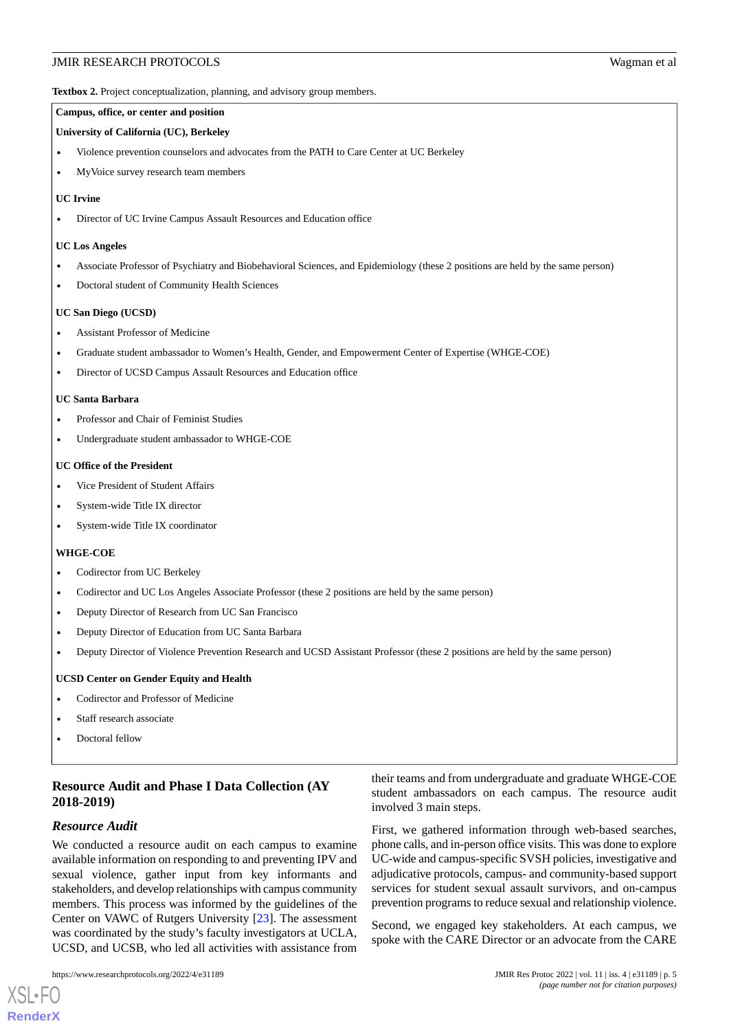<span id="page-4-0"></span>**Textbox 2.** Project conceptualization, planning, and advisory group members.

#### **Campus, office, or center and position**

#### **University of California (UC), Berkeley**

- Violence prevention counselors and advocates from the PATH to Care Center at UC Berkeley
- MyVoice survey research team members

#### **UC Irvine**

• Director of UC Irvine Campus Assault Resources and Education office

#### **UC Los Angeles**

- Associate Professor of Psychiatry and Biobehavioral Sciences, and Epidemiology (these 2 positions are held by the same person)
- Doctoral student of Community Health Sciences

#### **UC San Diego (UCSD)**

- Assistant Professor of Medicine
- Graduate student ambassador to Women's Health, Gender, and Empowerment Center of Expertise (WHGE-COE)
- Director of UCSD Campus Assault Resources and Education office

#### **UC Santa Barbara**

- Professor and Chair of Feminist Studies
- Undergraduate student ambassador to WHGE-COE

#### **UC Office of the President**

- Vice President of Student Affairs
- System-wide Title IX director
- System-wide Title IX coordinator

#### **WHGE-COE**

- Codirector from UC Berkeley
- Codirector and UC Los Angeles Associate Professor (these 2 positions are held by the same person)
- Deputy Director of Research from UC San Francisco
- Deputy Director of Education from UC Santa Barbara
- Deputy Director of Violence Prevention Research and UCSD Assistant Professor (these 2 positions are held by the same person)

#### **UCSD Center on Gender Equity and Health**

- Codirector and Professor of Medicine
- Staff research associate
- Doctoral fellow

# **Resource Audit and Phase I Data Collection (AY 2018-2019)**

#### *Resource Audit*

[XSL](http://www.w3.org/Style/XSL)•FO **[RenderX](http://www.renderx.com/)**

We conducted a resource audit on each campus to examine available information on responding to and preventing IPV and sexual violence, gather input from key informants and stakeholders, and develop relationships with campus community members. This process was informed by the guidelines of the Center on VAWC of Rutgers University [[23\]](#page-13-20). The assessment was coordinated by the study's faculty investigators at UCLA, UCSD, and UCSB, who led all activities with assistance from

their teams and from undergraduate and graduate WHGE-COE student ambassadors on each campus. The resource audit involved 3 main steps.

First, we gathered information through web-based searches, phone calls, and in-person office visits. This was done to explore UC-wide and campus-specific SVSH policies, investigative and adjudicative protocols, campus- and community-based support services for student sexual assault survivors, and on-campus prevention programs to reduce sexual and relationship violence.

Second, we engaged key stakeholders. At each campus, we spoke with the CARE Director or an advocate from the CARE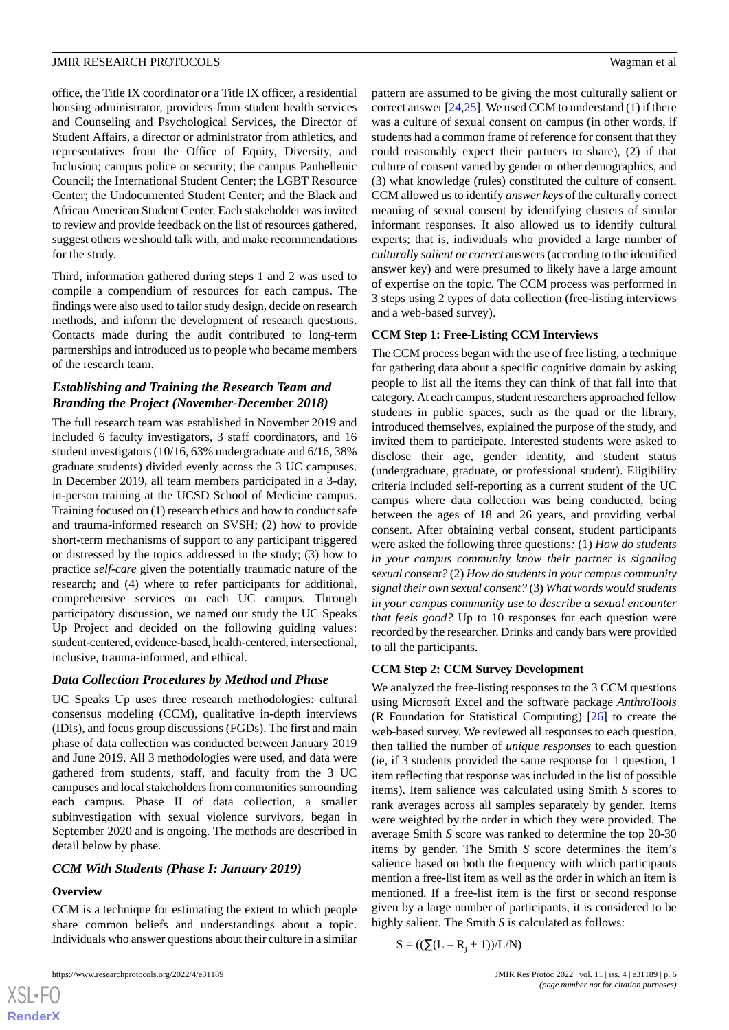for the study.

office, the Title IX coordinator or a Title IX officer, a residential housing administrator, providers from student health services and Counseling and Psychological Services, the Director of Student Affairs, a director or administrator from athletics, and representatives from the Office of Equity, Diversity, and Inclusion; campus police or security; the campus Panhellenic Council; the International Student Center; the LGBT Resource Center; the Undocumented Student Center; and the Black and African American Student Center. Each stakeholder was invited to review and provide feedback on the list of resources gathered, suggest others we should talk with, and make recommendations

Third, information gathered during steps 1 and 2 was used to compile a compendium of resources for each campus. The findings were also used to tailor study design, decide on research methods, and inform the development of research questions. Contacts made during the audit contributed to long-term partnerships and introduced us to people who became members of the research team.

# *Establishing and Training the Research Team and Branding the Project (November-December 2018)*

The full research team was established in November 2019 and included 6 faculty investigators, 3 staff coordinators, and 16 student investigators (10/16, 63% undergraduate and 6/16, 38% graduate students) divided evenly across the 3 UC campuses. In December 2019, all team members participated in a 3-day, in-person training at the UCSD School of Medicine campus. Training focused on (1) research ethics and how to conduct safe and trauma-informed research on SVSH; (2) how to provide short-term mechanisms of support to any participant triggered or distressed by the topics addressed in the study; (3) how to practice *self-care* given the potentially traumatic nature of the research; and (4) where to refer participants for additional, comprehensive services on each UC campus. Through participatory discussion, we named our study the UC Speaks Up Project and decided on the following guiding values: student-centered, evidence-based, health-centered, intersectional, inclusive, trauma-informed, and ethical.

# *Data Collection Procedures by Method and Phase*

UC Speaks Up uses three research methodologies: cultural consensus modeling (CCM), qualitative in-depth interviews (IDIs), and focus group discussions (FGDs). The first and main phase of data collection was conducted between January 2019 and June 2019. All 3 methodologies were used, and data were gathered from students, staff, and faculty from the 3 UC campuses and local stakeholders from communities surrounding each campus. Phase II of data collection, a smaller subinvestigation with sexual violence survivors, began in September 2020 and is ongoing. The methods are described in detail below by phase.

# *CCM With Students (Phase I: January 2019)*

# **Overview**

CCM is a technique for estimating the extent to which people share common beliefs and understandings about a topic. Individuals who answer questions about their culture in a similar

https://www.researchprotocols.org/2022/4/e31189 JMIR Res Protoc 2022 | vol. 11 | iss. 4 | e31189 | p. 6

pattern are assumed to be giving the most culturally salient or correct answer [[24,](#page-14-0)[25](#page-14-1)]. We used CCM to understand (1) if there was a culture of sexual consent on campus (in other words, if students had a common frame of reference for consent that they could reasonably expect their partners to share), (2) if that culture of consent varied by gender or other demographics, and (3) what knowledge (rules) constituted the culture of consent. CCM allowed us to identify *answer keys* of the culturally correct meaning of sexual consent by identifying clusters of similar informant responses. It also allowed us to identify cultural experts; that is, individuals who provided a large number of *culturally salient or correct* answers (according to the identified answer key) and were presumed to likely have a large amount of expertise on the topic. The CCM process was performed in 3 steps using 2 types of data collection (free-listing interviews and a web-based survey).

# **CCM Step 1: Free-Listing CCM Interviews**

The CCM process began with the use of free listing, a technique for gathering data about a specific cognitive domain by asking people to list all the items they can think of that fall into that category. At each campus, student researchers approached fellow students in public spaces, such as the quad or the library, introduced themselves, explained the purpose of the study, and invited them to participate. Interested students were asked to disclose their age, gender identity, and student status (undergraduate, graduate, or professional student). Eligibility criteria included self-reporting as a current student of the UC campus where data collection was being conducted, being between the ages of 18 and 26 years, and providing verbal consent. After obtaining verbal consent, student participants were asked the following three questions*:* (1) *How do students in your campus community know their partner is signaling sexual consent?* (2) *How do students in your campus community signal their own sexual consent?* (3) *What words would students in your campus community use to describe a sexual encounter that feels good?* Up to 10 responses for each question were recorded by the researcher. Drinks and candy bars were provided to all the participants.

# **CCM Step 2: CCM Survey Development**

We analyzed the free-listing responses to the 3 CCM questions using Microsoft Excel and the software package *AnthroTools* (R Foundation for Statistical Computing) [[26\]](#page-14-2) to create the web-based survey. We reviewed all responses to each question, then tallied the number of *unique responses* to each question (ie, if 3 students provided the same response for 1 question, 1 item reflecting that response was included in the list of possible items). Item salience was calculated using Smith *S* scores to rank averages across all samples separately by gender. Items were weighted by the order in which they were provided. The average Smith *S* score was ranked to determine the top 20-30 items by gender. The Smith *S* score determines the item's salience based on both the frequency with which participants mention a free-list item as well as the order in which an item is mentioned. If a free-list item is the first or second response given by a large number of participants, it is considered to be highly salient. The Smith *S* is calculated as follows:

$$
S = ((\Sigma(L - R_j + 1))/L/N)
$$

 $XS$  $\cdot$ FC **[RenderX](http://www.renderx.com/)**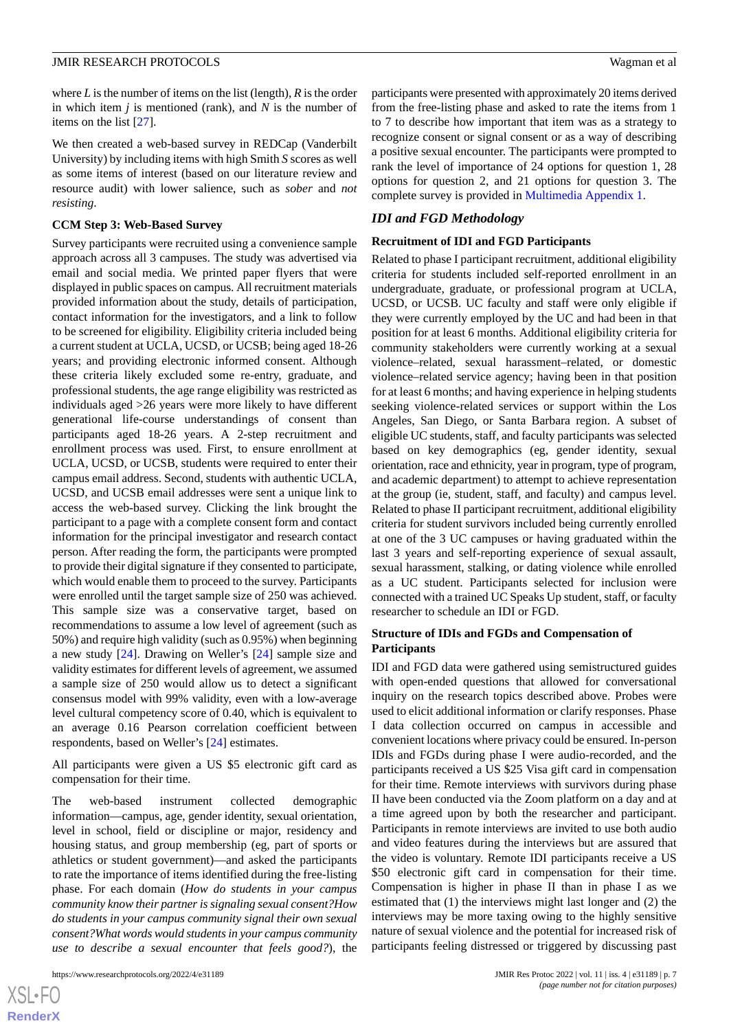where *L*is the number of items on the list (length), *R* is the order in which item *j* is mentioned (rank), and *N* is the number of items on the list [[27\]](#page-14-3).

We then created a web-based survey in REDCap (Vanderbilt University) by including items with high Smith *S* scores as well as some items of interest (based on our literature review and resource audit) with lower salience, such as *sober* and *not resisting*.

#### **CCM Step 3: Web-Based Survey**

Survey participants were recruited using a convenience sample approach across all 3 campuses. The study was advertised via email and social media. We printed paper flyers that were displayed in public spaces on campus. All recruitment materials provided information about the study, details of participation, contact information for the investigators, and a link to follow to be screened for eligibility. Eligibility criteria included being a current student at UCLA, UCSD, or UCSB; being aged 18-26 years; and providing electronic informed consent. Although these criteria likely excluded some re-entry, graduate, and professional students, the age range eligibility was restricted as individuals aged >26 years were more likely to have different generational life-course understandings of consent than participants aged 18-26 years. A 2-step recruitment and enrollment process was used. First, to ensure enrollment at UCLA, UCSD, or UCSB, students were required to enter their campus email address. Second, students with authentic UCLA, UCSD, and UCSB email addresses were sent a unique link to access the web-based survey. Clicking the link brought the participant to a page with a complete consent form and contact information for the principal investigator and research contact person. After reading the form, the participants were prompted to provide their digital signature if they consented to participate, which would enable them to proceed to the survey. Participants were enrolled until the target sample size of 250 was achieved. This sample size was a conservative target, based on recommendations to assume a low level of agreement (such as 50%) and require high validity (such as 0.95%) when beginning a new study [[24\]](#page-14-0). Drawing on Weller's [[24\]](#page-14-0) sample size and validity estimates for different levels of agreement, we assumed a sample size of 250 would allow us to detect a significant consensus model with 99% validity, even with a low-average level cultural competency score of 0.40, which is equivalent to an average 0.16 Pearson correlation coefficient between respondents, based on Weller's [[24\]](#page-14-0) estimates.

All participants were given a US \$5 electronic gift card as compensation for their time.

The web-based instrument collected demographic information—campus, age, gender identity, sexual orientation, level in school, field or discipline or major, residency and housing status, and group membership (eg, part of sports or athletics or student government)—and asked the participants to rate the importance of items identified during the free-listing phase. For each domain (*How do students in your campus community know their partner is signaling sexual consent?How do students in your campus community signal their own sexual consent?What words would students in your campus community use to describe a sexual encounter that feels good?*), the

participants were presented with approximately 20 items derived from the free-listing phase and asked to rate the items from 1 to 7 to describe how important that item was as a strategy to recognize consent or signal consent or as a way of describing a positive sexual encounter. The participants were prompted to rank the level of importance of 24 options for question 1, 28 options for question 2, and 21 options for question 3. The complete survey is provided in [Multimedia Appendix 1](#page-12-0).

## *IDI and FGD Methodology*

#### **Recruitment of IDI and FGD Participants**

Related to phase I participant recruitment, additional eligibility criteria for students included self-reported enrollment in an undergraduate, graduate, or professional program at UCLA, UCSD, or UCSB. UC faculty and staff were only eligible if they were currently employed by the UC and had been in that position for at least 6 months. Additional eligibility criteria for community stakeholders were currently working at a sexual violence–related, sexual harassment–related, or domestic violence–related service agency; having been in that position for at least 6 months; and having experience in helping students seeking violence-related services or support within the Los Angeles, San Diego, or Santa Barbara region. A subset of eligible UC students, staff, and faculty participants was selected based on key demographics (eg, gender identity, sexual orientation, race and ethnicity, year in program, type of program, and academic department) to attempt to achieve representation at the group (ie, student, staff, and faculty) and campus level. Related to phase II participant recruitment, additional eligibility criteria for student survivors included being currently enrolled at one of the 3 UC campuses or having graduated within the last 3 years and self-reporting experience of sexual assault, sexual harassment, stalking, or dating violence while enrolled as a UC student. Participants selected for inclusion were connected with a trained UC Speaks Up student, staff, or faculty researcher to schedule an IDI or FGD.

#### **Structure of IDIs and FGDs and Compensation of Participants**

IDI and FGD data were gathered using semistructured guides with open-ended questions that allowed for conversational inquiry on the research topics described above. Probes were used to elicit additional information or clarify responses. Phase I data collection occurred on campus in accessible and convenient locations where privacy could be ensured. In-person IDIs and FGDs during phase I were audio-recorded, and the participants received a US \$25 Visa gift card in compensation for their time. Remote interviews with survivors during phase II have been conducted via the Zoom platform on a day and at a time agreed upon by both the researcher and participant. Participants in remote interviews are invited to use both audio and video features during the interviews but are assured that the video is voluntary. Remote IDI participants receive a US \$50 electronic gift card in compensation for their time. Compensation is higher in phase II than in phase I as we estimated that (1) the interviews might last longer and (2) the interviews may be more taxing owing to the highly sensitive nature of sexual violence and the potential for increased risk of participants feeling distressed or triggered by discussing past

```
XS-FO
RenderX
```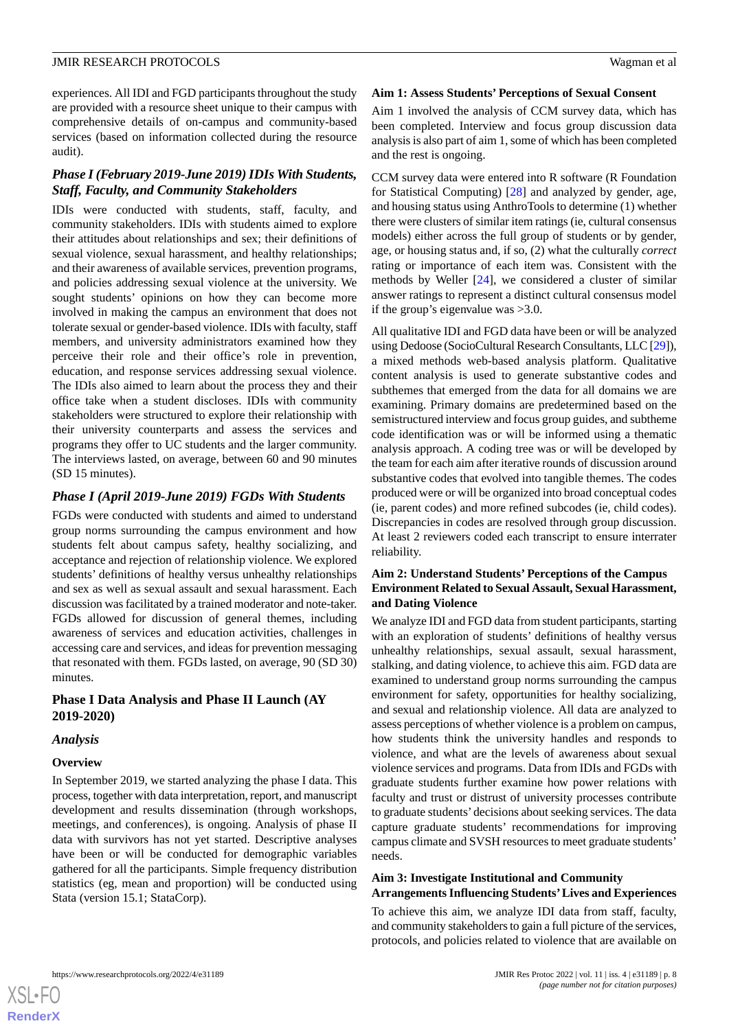experiences. All IDI and FGD participants throughout the study are provided with a resource sheet unique to their campus with comprehensive details of on-campus and community-based services (based on information collected during the resource audit).

# *Phase I (February 2019-June 2019) IDIs With Students, Staff, Faculty, and Community Stakeholders*

IDIs were conducted with students, staff, faculty, and community stakeholders. IDIs with students aimed to explore their attitudes about relationships and sex; their definitions of sexual violence, sexual harassment, and healthy relationships; and their awareness of available services, prevention programs, and policies addressing sexual violence at the university. We sought students' opinions on how they can become more involved in making the campus an environment that does not tolerate sexual or gender-based violence. IDIs with faculty, staff members, and university administrators examined how they perceive their role and their office's role in prevention, education, and response services addressing sexual violence. The IDIs also aimed to learn about the process they and their office take when a student discloses. IDIs with community stakeholders were structured to explore their relationship with their university counterparts and assess the services and programs they offer to UC students and the larger community. The interviews lasted, on average, between 60 and 90 minutes (SD 15 minutes).

# *Phase I (April 2019-June 2019) FGDs With Students*

FGDs were conducted with students and aimed to understand group norms surrounding the campus environment and how students felt about campus safety, healthy socializing, and acceptance and rejection of relationship violence. We explored students' definitions of healthy versus unhealthy relationships and sex as well as sexual assault and sexual harassment. Each discussion was facilitated by a trained moderator and note-taker. FGDs allowed for discussion of general themes, including awareness of services and education activities, challenges in accessing care and services, and ideas for prevention messaging that resonated with them. FGDs lasted, on average, 90 (SD 30) minutes.

# **Phase I Data Analysis and Phase II Launch (AY 2019-2020)**

#### *Analysis*

# **Overview**

In September 2019, we started analyzing the phase I data. This process, together with data interpretation, report, and manuscript development and results dissemination (through workshops, meetings, and conferences), is ongoing. Analysis of phase II data with survivors has not yet started. Descriptive analyses have been or will be conducted for demographic variables gathered for all the participants. Simple frequency distribution statistics (eg, mean and proportion) will be conducted using Stata (version 15.1; StataCorp).

#### **Aim 1: Assess Students' Perceptions of Sexual Consent**

Aim 1 involved the analysis of CCM survey data, which has been completed. Interview and focus group discussion data analysis is also part of aim 1, some of which has been completed and the rest is ongoing.

CCM survey data were entered into R software (R Foundation for Statistical Computing) [[28\]](#page-14-4) and analyzed by gender, age, and housing status using AnthroTools to determine (1) whether there were clusters of similar item ratings (ie, cultural consensus models) either across the full group of students or by gender, age, or housing status and, if so, (2) what the culturally *correct* rating or importance of each item was. Consistent with the methods by Weller [[24\]](#page-14-0), we considered a cluster of similar answer ratings to represent a distinct cultural consensus model if the group's eigenvalue was >3.0.

All qualitative IDI and FGD data have been or will be analyzed using Dedoose (SocioCultural Research Consultants, LLC [\[29\]](#page-14-5)), a mixed methods web-based analysis platform. Qualitative content analysis is used to generate substantive codes and subthemes that emerged from the data for all domains we are examining. Primary domains are predetermined based on the semistructured interview and focus group guides, and subtheme code identification was or will be informed using a thematic analysis approach. A coding tree was or will be developed by the team for each aim after iterative rounds of discussion around substantive codes that evolved into tangible themes. The codes produced were or will be organized into broad conceptual codes (ie, parent codes) and more refined subcodes (ie, child codes). Discrepancies in codes are resolved through group discussion. At least 2 reviewers coded each transcript to ensure interrater reliability.

# **Aim 2: Understand Students' Perceptions of the Campus Environment Related to Sexual Assault, Sexual Harassment, and Dating Violence**

We analyze IDI and FGD data from student participants, starting with an exploration of students' definitions of healthy versus unhealthy relationships, sexual assault, sexual harassment, stalking, and dating violence, to achieve this aim. FGD data are examined to understand group norms surrounding the campus environment for safety, opportunities for healthy socializing, and sexual and relationship violence. All data are analyzed to assess perceptions of whether violence is a problem on campus, how students think the university handles and responds to violence, and what are the levels of awareness about sexual violence services and programs. Data from IDIs and FGDs with graduate students further examine how power relations with faculty and trust or distrust of university processes contribute to graduate students'decisions about seeking services. The data capture graduate students' recommendations for improving campus climate and SVSH resources to meet graduate students' needs.

### **Aim 3: Investigate Institutional and Community Arrangements Influencing Students'Lives and Experiences**

To achieve this aim, we analyze IDI data from staff, faculty, and community stakeholders to gain a full picture of the services, protocols, and policies related to violence that are available on

**[RenderX](http://www.renderx.com/)**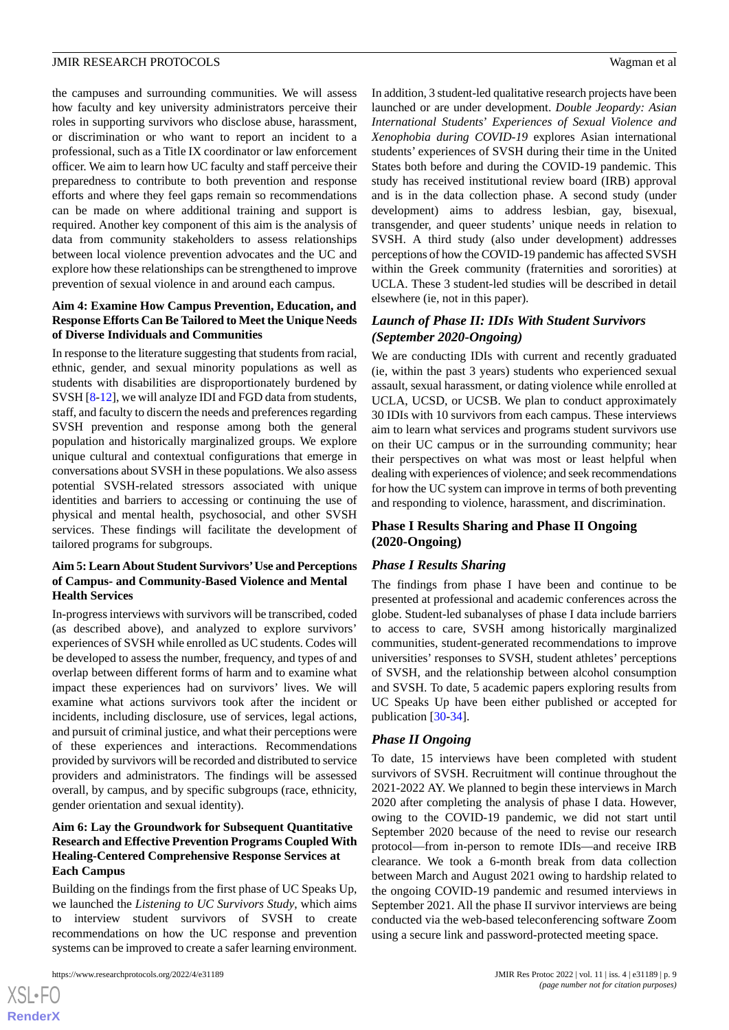the campuses and surrounding communities. We will assess how faculty and key university administrators perceive their roles in supporting survivors who disclose abuse, harassment, or discrimination or who want to report an incident to a professional, such as a Title IX coordinator or law enforcement officer. We aim to learn how UC faculty and staff perceive their preparedness to contribute to both prevention and response efforts and where they feel gaps remain so recommendations can be made on where additional training and support is required. Another key component of this aim is the analysis of data from community stakeholders to assess relationships between local violence prevention advocates and the UC and explore how these relationships can be strengthened to improve prevention of sexual violence in and around each campus.

### **Aim 4: Examine How Campus Prevention, Education, and Response Efforts Can Be Tailored to Meet the Unique Needs of Diverse Individuals and Communities**

In response to the literature suggesting that students from racial, ethnic, gender, and sexual minority populations as well as students with disabilities are disproportionately burdened by SVSH [\[8](#page-13-7)-[12\]](#page-13-10), we will analyze IDI and FGD data from students, staff, and faculty to discern the needs and preferences regarding SVSH prevention and response among both the general population and historically marginalized groups. We explore unique cultural and contextual configurations that emerge in conversations about SVSH in these populations. We also assess potential SVSH-related stressors associated with unique identities and barriers to accessing or continuing the use of physical and mental health, psychosocial, and other SVSH services. These findings will facilitate the development of tailored programs for subgroups.

# **Aim 5: Learn About Student Survivors'Use and Perceptions of Campus- and Community-Based Violence and Mental Health Services**

In-progress interviews with survivors will be transcribed, coded (as described above), and analyzed to explore survivors' experiences of SVSH while enrolled as UC students. Codes will be developed to assess the number, frequency, and types of and overlap between different forms of harm and to examine what impact these experiences had on survivors' lives. We will examine what actions survivors took after the incident or incidents, including disclosure, use of services, legal actions, and pursuit of criminal justice, and what their perceptions were of these experiences and interactions. Recommendations provided by survivors will be recorded and distributed to service providers and administrators. The findings will be assessed overall, by campus, and by specific subgroups (race, ethnicity, gender orientation and sexual identity).

# **Aim 6: Lay the Groundwork for Subsequent Quantitative Research and Effective Prevention Programs Coupled With Healing-Centered Comprehensive Response Services at Each Campus**

Building on the findings from the first phase of UC Speaks Up, we launched the *Listening to UC Survivors Study*, which aims to interview student survivors of SVSH to create recommendations on how the UC response and prevention systems can be improved to create a safer learning environment.

```
https://www.researchprotocols.org/2022/4/e31189 JMIR Res Protoc 2022 | vol. 11 | iss. 4 | e31189 | p. 9
```
 $XS$ -FO **[RenderX](http://www.renderx.com/)**

In addition, 3 student-led qualitative research projects have been launched or are under development. *Double Jeopardy: Asian International Students*' *Experiences of Sexual Violence and Xenophobia during COVID-19* explores Asian international students' experiences of SVSH during their time in the United States both before and during the COVID-19 pandemic. This study has received institutional review board (IRB) approval and is in the data collection phase. A second study (under development) aims to address lesbian, gay, bisexual, transgender, and queer students' unique needs in relation to SVSH. A third study (also under development) addresses perceptions of how the COVID-19 pandemic has affected SVSH within the Greek community (fraternities and sororities) at UCLA. These 3 student-led studies will be described in detail elsewhere (ie, not in this paper).

# *Launch of Phase II: IDIs With Student Survivors (September 2020-Ongoing)*

We are conducting IDIs with current and recently graduated (ie, within the past 3 years) students who experienced sexual assault, sexual harassment, or dating violence while enrolled at UCLA, UCSD, or UCSB. We plan to conduct approximately 30 IDIs with 10 survivors from each campus. These interviews aim to learn what services and programs student survivors use on their UC campus or in the surrounding community; hear their perspectives on what was most or least helpful when dealing with experiences of violence; and seek recommendations for how the UC system can improve in terms of both preventing and responding to violence, harassment, and discrimination.

# **Phase I Results Sharing and Phase II Ongoing (2020-Ongoing)**

# *Phase I Results Sharing*

The findings from phase I have been and continue to be presented at professional and academic conferences across the globe. Student-led subanalyses of phase I data include barriers to access to care, SVSH among historically marginalized communities, student-generated recommendations to improve universities' responses to SVSH, student athletes' perceptions of SVSH, and the relationship between alcohol consumption and SVSH. To date, 5 academic papers exploring results from UC Speaks Up have been either published or accepted for publication [\[30](#page-14-6)-[34\]](#page-14-7).

# *Phase II Ongoing*

To date, 15 interviews have been completed with student survivors of SVSH. Recruitment will continue throughout the 2021-2022 AY. We planned to begin these interviews in March 2020 after completing the analysis of phase I data. However, owing to the COVID-19 pandemic, we did not start until September 2020 because of the need to revise our research protocol—from in-person to remote IDIs—and receive IRB clearance. We took a 6-month break from data collection between March and August 2021 owing to hardship related to the ongoing COVID-19 pandemic and resumed interviews in September 2021. All the phase II survivor interviews are being conducted via the web-based teleconferencing software Zoom using a secure link and password-protected meeting space.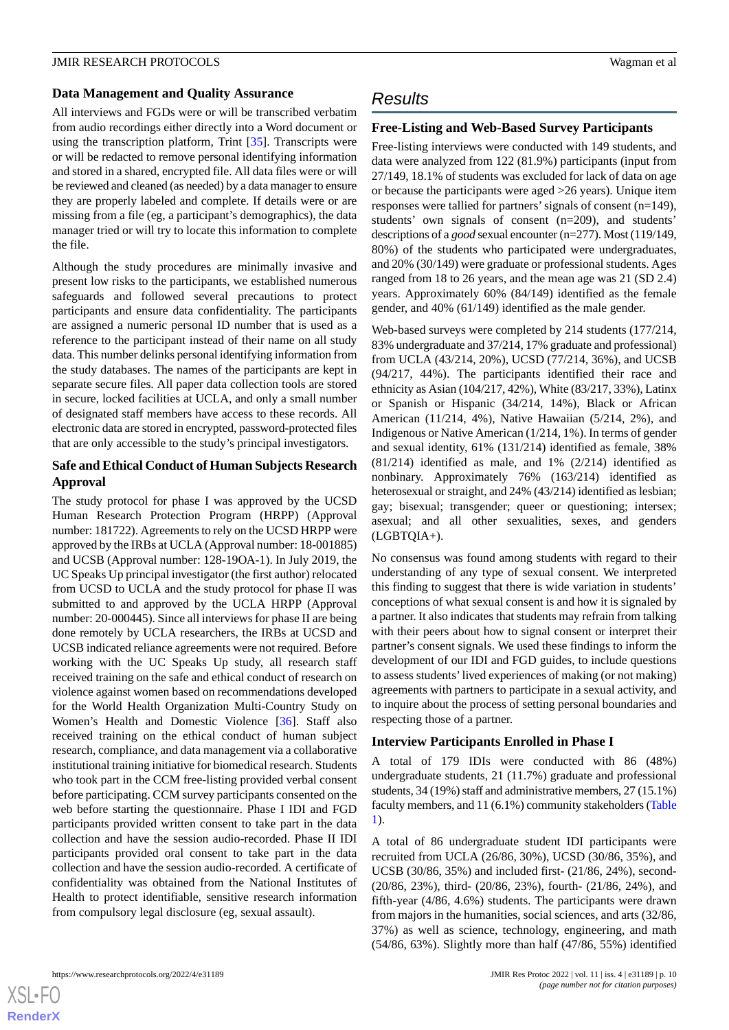#### **Data Management and Quality Assurance**

All interviews and FGDs were or will be transcribed verbatim from audio recordings either directly into a Word document or using the transcription platform, Trint [[35\]](#page-14-8). Transcripts were or will be redacted to remove personal identifying information and stored in a shared, encrypted file. All data files were or will be reviewed and cleaned (as needed) by a data manager to ensure they are properly labeled and complete. If details were or are missing from a file (eg, a participant's demographics), the data manager tried or will try to locate this information to complete the file.

Although the study procedures are minimally invasive and present low risks to the participants, we established numerous safeguards and followed several precautions to protect participants and ensure data confidentiality. The participants are assigned a numeric personal ID number that is used as a reference to the participant instead of their name on all study data. This number delinks personal identifying information from the study databases. The names of the participants are kept in separate secure files. All paper data collection tools are stored in secure, locked facilities at UCLA, and only a small number of designated staff members have access to these records. All electronic data are stored in encrypted, password-protected files that are only accessible to the study's principal investigators.

# **Safe and Ethical Conduct of Human Subjects Research Approval**

The study protocol for phase I was approved by the UCSD Human Research Protection Program (HRPP) (Approval number: 181722). Agreements to rely on the UCSD HRPP were approved by the IRBs at UCLA (Approval number: 18-001885) and UCSB (Approval number: 128-19OA-1). In July 2019, the UC Speaks Up principal investigator (the first author) relocated from UCSD to UCLA and the study protocol for phase II was submitted to and approved by the UCLA HRPP (Approval number: 20-000445). Since all interviews for phase II are being done remotely by UCLA researchers, the IRBs at UCSD and UCSB indicated reliance agreements were not required. Before working with the UC Speaks Up study, all research staff received training on the safe and ethical conduct of research on violence against women based on recommendations developed for the World Health Organization Multi-Country Study on Women's Health and Domestic Violence [\[36](#page-14-9)]. Staff also received training on the ethical conduct of human subject research, compliance, and data management via a collaborative institutional training initiative for biomedical research. Students who took part in the CCM free-listing provided verbal consent before participating. CCM survey participants consented on the web before starting the questionnaire. Phase I IDI and FGD participants provided written consent to take part in the data collection and have the session audio-recorded. Phase II IDI participants provided oral consent to take part in the data collection and have the session audio-recorded. A certificate of confidentiality was obtained from the National Institutes of Health to protect identifiable, sensitive research information from compulsory legal disclosure (eg, sexual assault).

# *Results*

# **Free-Listing and Web-Based Survey Participants**

Free-listing interviews were conducted with 149 students, and data were analyzed from 122 (81.9%) participants (input from 27/149, 18.1% of students was excluded for lack of data on age or because the participants were aged >26 years). Unique item responses were tallied for partners'signals of consent (n=149), students' own signals of consent (n=209), and students' descriptions of a *good* sexual encounter (n=277). Most (119/149, 80%) of the students who participated were undergraduates, and 20% (30/149) were graduate or professional students. Ages ranged from 18 to 26 years, and the mean age was 21 (SD 2.4) years. Approximately 60% (84/149) identified as the female gender, and 40% (61/149) identified as the male gender.

Web-based surveys were completed by 214 students (177/214, 83% undergraduate and 37/214, 17% graduate and professional) from UCLA (43/214, 20%), UCSD (77/214, 36%), and UCSB (94/217, 44%). The participants identified their race and ethnicity as Asian (104/217, 42%), White (83/217, 33%), Latinx or Spanish or Hispanic (34/214, 14%), Black or African American (11/214, 4%), Native Hawaiian (5/214, 2%), and Indigenous or Native American (1/214, 1%). In terms of gender and sexual identity, 61% (131/214) identified as female, 38% (81/214) identified as male, and 1% (2/214) identified as nonbinary. Approximately 76% (163/214) identified as heterosexual or straight, and 24% (43/214) identified as lesbian; gay; bisexual; transgender; queer or questioning; intersex; asexual; and all other sexualities, sexes, and genders (LGBTQIA+).

No consensus was found among students with regard to their understanding of any type of sexual consent. We interpreted this finding to suggest that there is wide variation in students' conceptions of what sexual consent is and how it is signaled by a partner. It also indicates that students may refrain from talking with their peers about how to signal consent or interpret their partner's consent signals. We used these findings to inform the development of our IDI and FGD guides, to include questions to assess students'lived experiences of making (or not making) agreements with partners to participate in a sexual activity, and to inquire about the process of setting personal boundaries and respecting those of a partner.

## **Interview Participants Enrolled in Phase I**

A total of 179 IDIs were conducted with 86 (48%) undergraduate students, 21 (11.7%) graduate and professional students, 34 (19%) staff and administrative members, 27 (15.1%) faculty members, and 11 (6.1%) community stakeholders [\(Table](#page-10-0) [1\)](#page-10-0).

A total of 86 undergraduate student IDI participants were recruited from UCLA (26/86, 30%), UCSD (30/86, 35%), and UCSB (30/86, 35%) and included first- (21/86, 24%), second- (20/86, 23%), third- (20/86, 23%), fourth- (21/86, 24%), and fifth-year (4/86, 4.6%) students. The participants were drawn from majors in the humanities, social sciences, and arts (32/86, 37%) as well as science, technology, engineering, and math (54/86, 63%). Slightly more than half (47/86, 55%) identified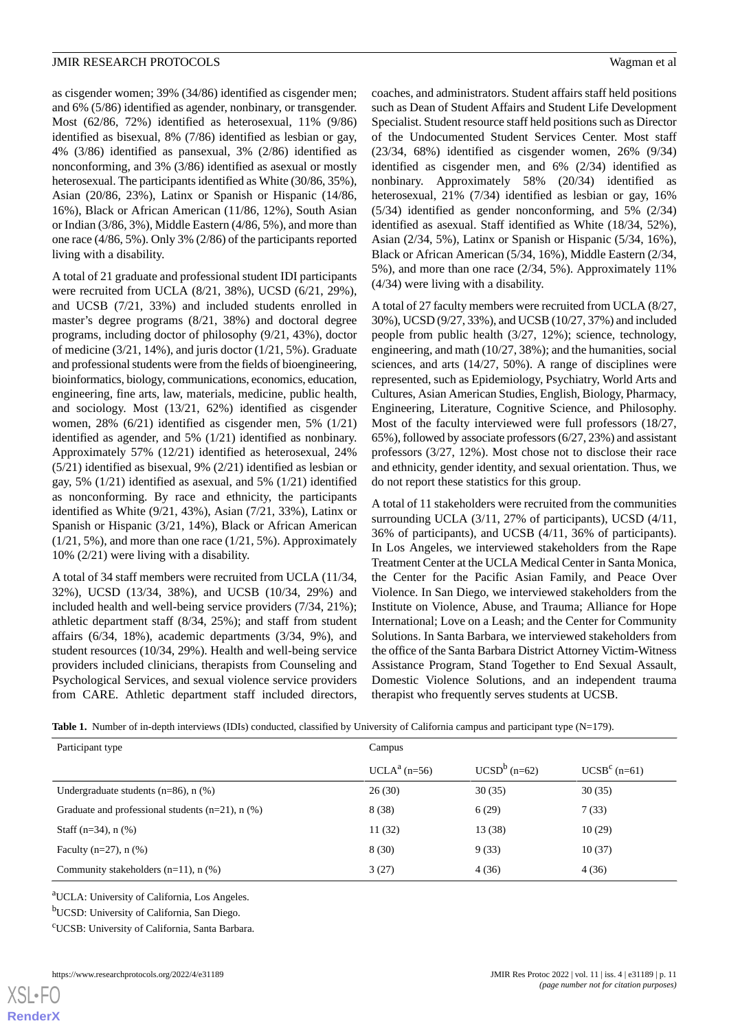as cisgender women; 39% (34/86) identified as cisgender men; and 6% (5/86) identified as agender, nonbinary, or transgender. Most (62/86, 72%) identified as heterosexual, 11% (9/86) identified as bisexual, 8% (7/86) identified as lesbian or gay, 4% (3/86) identified as pansexual, 3% (2/86) identified as nonconforming, and 3% (3/86) identified as asexual or mostly heterosexual. The participants identified as White (30/86, 35%), Asian (20/86, 23%), Latinx or Spanish or Hispanic (14/86, 16%), Black or African American (11/86, 12%), South Asian or Indian (3/86, 3%), Middle Eastern (4/86, 5%), and more than one race (4/86, 5%). Only 3% (2/86) of the participants reported living with a disability.

A total of 21 graduate and professional student IDI participants were recruited from UCLA (8/21, 38%), UCSD (6/21, 29%), and UCSB (7/21, 33%) and included students enrolled in master's degree programs (8/21, 38%) and doctoral degree programs, including doctor of philosophy (9/21, 43%), doctor of medicine (3/21, 14%), and juris doctor (1/21, 5%). Graduate and professional students were from the fields of bioengineering, bioinformatics, biology, communications, economics, education, engineering, fine arts, law, materials, medicine, public health, and sociology. Most (13/21, 62%) identified as cisgender women, 28% (6/21) identified as cisgender men, 5% (1/21) identified as agender, and 5% (1/21) identified as nonbinary. Approximately 57% (12/21) identified as heterosexual, 24% (5/21) identified as bisexual, 9% (2/21) identified as lesbian or gay, 5% (1/21) identified as asexual, and 5% (1/21) identified as nonconforming. By race and ethnicity, the participants identified as White (9/21, 43%), Asian (7/21, 33%), Latinx or Spanish or Hispanic (3/21, 14%), Black or African American (1/21, 5%), and more than one race (1/21, 5%). Approximately 10% (2/21) were living with a disability.

A total of 34 staff members were recruited from UCLA (11/34, 32%), UCSD (13/34, 38%), and UCSB (10/34, 29%) and included health and well-being service providers (7/34, 21%); athletic department staff (8/34, 25%); and staff from student affairs (6/34, 18%), academic departments (3/34, 9%), and student resources (10/34, 29%). Health and well-being service providers included clinicians, therapists from Counseling and Psychological Services, and sexual violence service providers from CARE. Athletic department staff included directors,

coaches, and administrators. Student affairs staff held positions such as Dean of Student Affairs and Student Life Development Specialist. Student resource staff held positions such as Director of the Undocumented Student Services Center. Most staff (23/34, 68%) identified as cisgender women, 26% (9/34) identified as cisgender men, and 6% (2/34) identified as nonbinary. Approximately 58% (20/34) identified as heterosexual, 21% (7/34) identified as lesbian or gay, 16% (5/34) identified as gender nonconforming, and 5% (2/34) identified as asexual. Staff identified as White (18/34, 52%), Asian (2/34, 5%), Latinx or Spanish or Hispanic (5/34, 16%), Black or African American (5/34, 16%), Middle Eastern (2/34, 5%), and more than one race (2/34, 5%). Approximately 11% (4/34) were living with a disability.

A total of 27 faculty members were recruited from UCLA (8/27, 30%), UCSD (9/27, 33%), and UCSB (10/27, 37%) and included people from public health (3/27, 12%); science, technology, engineering, and math (10/27, 38%); and the humanities, social sciences, and arts (14/27, 50%). A range of disciplines were represented, such as Epidemiology, Psychiatry, World Arts and Cultures, Asian American Studies, English, Biology, Pharmacy, Engineering, Literature, Cognitive Science, and Philosophy. Most of the faculty interviewed were full professors (18/27, 65%), followed by associate professors (6/27, 23%) and assistant professors (3/27, 12%). Most chose not to disclose their race and ethnicity, gender identity, and sexual orientation. Thus, we do not report these statistics for this group.

A total of 11 stakeholders were recruited from the communities surrounding UCLA (3/11, 27% of participants), UCSD (4/11, 36% of participants), and UCSB (4/11, 36% of participants). In Los Angeles, we interviewed stakeholders from the Rape Treatment Center at the UCLA Medical Center in Santa Monica, the Center for the Pacific Asian Family, and Peace Over Violence. In San Diego, we interviewed stakeholders from the Institute on Violence, Abuse, and Trauma; Alliance for Hope International; Love on a Leash; and the Center for Community Solutions. In Santa Barbara, we interviewed stakeholders from the office of the Santa Barbara District Attorney Victim-Witness Assistance Program, Stand Together to End Sexual Assault, Domestic Violence Solutions, and an independent trauma therapist who frequently serves students at UCSB.

<span id="page-10-0"></span>

|  | Table 1. Number of in-depth interviews (IDIs) conducted, classified by University of California campus and participant type $(N=179)$ . |  |  |  |  |
|--|-----------------------------------------------------------------------------------------------------------------------------------------|--|--|--|--|
|--|-----------------------------------------------------------------------------------------------------------------------------------------|--|--|--|--|

| Campus         |                |                |  |
|----------------|----------------|----------------|--|
| $UCLAa$ (n=56) | $UCSDb$ (n=62) | $UCSBc$ (n=61) |  |
| 26(30)         | 30(35)         | 30(35)         |  |
| 8 (38)         | 6(29)          | 7(33)          |  |
| 11(32)         | 13 (38)        | 10(29)         |  |
| 8(30)          | 9(33)          | 10(37)         |  |
| 3(27)          | 4(36)          | 4(36)          |  |
|                |                |                |  |

<sup>a</sup>UCLA: University of California, Los Angeles.

<sup>b</sup>UCSD: University of California, San Diego.

<sup>c</sup>UCSB: University of California, Santa Barbara.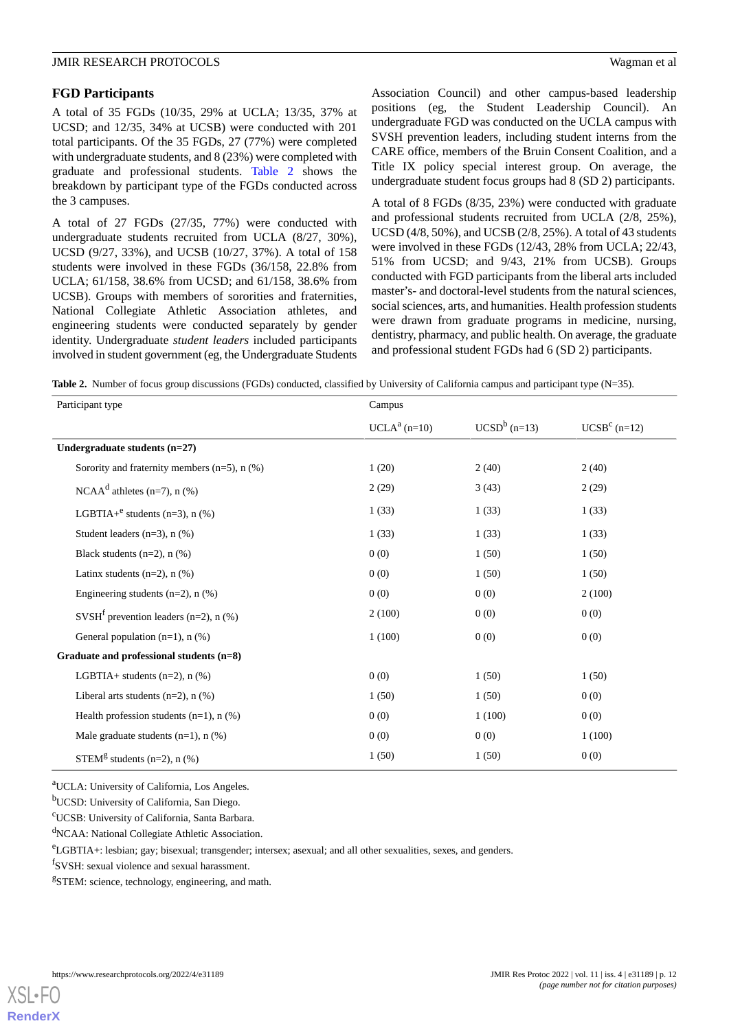### **FGD Participants**

A total of 35 FGDs (10/35, 29% at UCLA; 13/35, 37% at UCSD; and 12/35, 34% at UCSB) were conducted with 201 total participants. Of the 35 FGDs, 27 (77%) were completed with undergraduate students, and 8 (23%) were completed with graduate and professional students. [Table 2](#page-11-0) shows the breakdown by participant type of the FGDs conducted across the 3 campuses.

A total of 27 FGDs (27/35, 77%) were conducted with undergraduate students recruited from UCLA (8/27, 30%), UCSD (9/27, 33%), and UCSB (10/27, 37%). A total of 158 students were involved in these FGDs (36/158, 22.8% from UCLA; 61/158, 38.6% from UCSD; and 61/158, 38.6% from UCSB). Groups with members of sororities and fraternities, National Collegiate Athletic Association athletes, and engineering students were conducted separately by gender identity. Undergraduate *student leaders* included participants involved in student government (eg, the Undergraduate Students Association Council) and other campus-based leadership positions (eg, the Student Leadership Council). An undergraduate FGD was conducted on the UCLA campus with SVSH prevention leaders, including student interns from the CARE office, members of the Bruin Consent Coalition, and a Title IX policy special interest group. On average, the undergraduate student focus groups had 8 (SD 2) participants.

A total of 8 FGDs (8/35, 23%) were conducted with graduate and professional students recruited from UCLA (2/8, 25%), UCSD (4/8, 50%), and UCSB (2/8, 25%). A total of 43 students were involved in these FGDs (12/43, 28% from UCLA; 22/43, 51% from UCSD; and 9/43, 21% from UCSB). Groups conducted with FGD participants from the liberal arts included master's- and doctoral-level students from the natural sciences, social sciences, arts, and humanities. Health profession students were drawn from graduate programs in medicine, nursing, dentistry, pharmacy, and public health. On average, the graduate and professional student FGDs had 6 (SD 2) participants.

<span id="page-11-0"></span>**Table 2.** Number of focus group discussions (FGDs) conducted, classified by University of California campus and participant type (N=35).

| Participant type                                      | Campus         |                |                |  |
|-------------------------------------------------------|----------------|----------------|----------------|--|
|                                                       | $UCLAa$ (n=10) | $UCSDb$ (n=13) | $UCSBc$ (n=12) |  |
| Undergraduate students (n=27)                         |                |                |                |  |
| Sorority and fraternity members $(n=5)$ , n $(\%)$    | 1(20)          | 2(40)          | 2(40)          |  |
| NCAA <sup>d</sup> athletes (n=7), n $(\% )$           | 2(29)          | 3(43)          | 2(29)          |  |
| LGBTIA+ <sup>e</sup> students (n=3), n $(\% )$        | 1(33)          | 1(33)          | 1(33)          |  |
| Student leaders $(n=3)$ , n $(\%)$                    | 1(33)          | 1(33)          | 1(33)          |  |
| Black students (n=2), n (%)                           | 0(0)           | 1(50)          | 1(50)          |  |
| Latinx students $(n=2)$ , n $(\%)$                    | 0(0)           | 1(50)          | 1(50)          |  |
| Engineering students ( $n=2$ ), $n$ (%)               | 0(0)           | 0(0)           | 2(100)         |  |
| SVSH <sup>f</sup> prevention leaders (n=2), n $(\% )$ | 2(100)         | 0(0)           | 0(0)           |  |
| General population $(n=1)$ , n $(\%)$                 | 1(100)         | 0(0)           | 0(0)           |  |
| Graduate and professional students (n=8)              |                |                |                |  |
| LGBTIA+ students $(n=2)$ , n $(\%)$                   | 0(0)           | 1(50)          | 1(50)          |  |
| Liberal arts students $(n=2)$ , n $(\%)$              | 1(50)          | 1(50)          | 0(0)           |  |
| Health profession students $(n=1)$ , n $(\%)$         | 0(0)           | 1(100)         | 0(0)           |  |
| Male graduate students $(n=1)$ , n $(\%)$             | 0(0)           | 0(0)           | 1(100)         |  |
| STEM <sup>g</sup> students (n=2), n $(\%)$            | 1(50)          | 1(50)          | 0(0)           |  |

<sup>a</sup>UCLA: University of California, Los Angeles.

<sup>b</sup>UCSD: University of California, San Diego.

<sup>c</sup>UCSB: University of California, Santa Barbara.

<sup>d</sup>NCAA: National Collegiate Athletic Association.

<sup>e</sup>LGBTIA+: lesbian; gay; bisexual; transgender; intersex; asexual; and all other sexualities, sexes, and genders.

f SVSH: sexual violence and sexual harassment.

<sup>g</sup>STEM: science, technology, engineering, and math.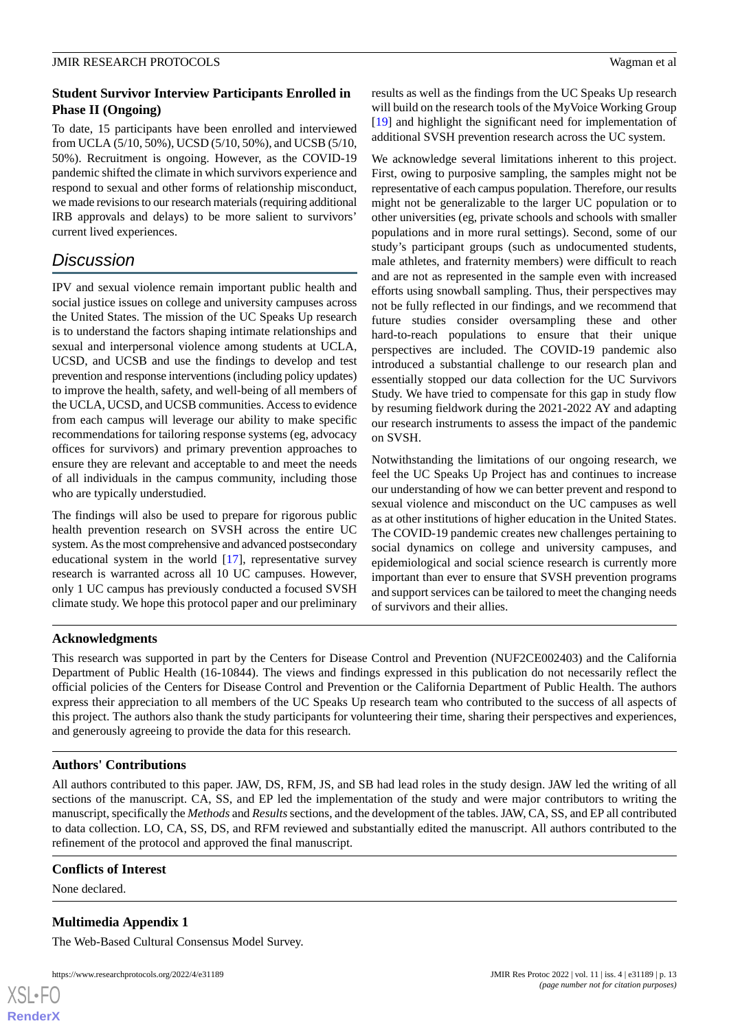# **Student Survivor Interview Participants Enrolled in Phase II (Ongoing)**

To date, 15 participants have been enrolled and interviewed from UCLA (5/10, 50%), UCSD (5/10, 50%), and UCSB (5/10, 50%). Recruitment is ongoing. However, as the COVID-19 pandemic shifted the climate in which survivors experience and respond to sexual and other forms of relationship misconduct, we made revisions to our research materials (requiring additional IRB approvals and delays) to be more salient to survivors' current lived experiences.

# *Discussion*

IPV and sexual violence remain important public health and social justice issues on college and university campuses across the United States. The mission of the UC Speaks Up research is to understand the factors shaping intimate relationships and sexual and interpersonal violence among students at UCLA, UCSD, and UCSB and use the findings to develop and test prevention and response interventions (including policy updates) to improve the health, safety, and well-being of all members of the UCLA, UCSD, and UCSB communities. Access to evidence from each campus will leverage our ability to make specific recommendations for tailoring response systems (eg, advocacy offices for survivors) and primary prevention approaches to ensure they are relevant and acceptable to and meet the needs of all individuals in the campus community, including those who are typically understudied.

The findings will also be used to prepare for rigorous public health prevention research on SVSH across the entire UC system. As the most comprehensive and advanced postsecondary educational system in the world [[17\]](#page-13-15), representative survey research is warranted across all 10 UC campuses. However, only 1 UC campus has previously conducted a focused SVSH climate study. We hope this protocol paper and our preliminary

results as well as the findings from the UC Speaks Up research will build on the research tools of the MyVoice Working Group [[19\]](#page-13-17) and highlight the significant need for implementation of additional SVSH prevention research across the UC system.

We acknowledge several limitations inherent to this project. First, owing to purposive sampling, the samples might not be representative of each campus population. Therefore, our results might not be generalizable to the larger UC population or to other universities (eg, private schools and schools with smaller populations and in more rural settings). Second, some of our study's participant groups (such as undocumented students, male athletes, and fraternity members) were difficult to reach and are not as represented in the sample even with increased efforts using snowball sampling. Thus, their perspectives may not be fully reflected in our findings, and we recommend that future studies consider oversampling these and other hard-to-reach populations to ensure that their unique perspectives are included. The COVID-19 pandemic also introduced a substantial challenge to our research plan and essentially stopped our data collection for the UC Survivors Study. We have tried to compensate for this gap in study flow by resuming fieldwork during the 2021-2022 AY and adapting our research instruments to assess the impact of the pandemic on SVSH.

Notwithstanding the limitations of our ongoing research, we feel the UC Speaks Up Project has and continues to increase our understanding of how we can better prevent and respond to sexual violence and misconduct on the UC campuses as well as at other institutions of higher education in the United States. The COVID-19 pandemic creates new challenges pertaining to social dynamics on college and university campuses, and epidemiological and social science research is currently more important than ever to ensure that SVSH prevention programs and support services can be tailored to meet the changing needs of survivors and their allies.

# **Acknowledgments**

This research was supported in part by the Centers for Disease Control and Prevention (NUF2CE002403) and the California Department of Public Health (16-10844). The views and findings expressed in this publication do not necessarily reflect the official policies of the Centers for Disease Control and Prevention or the California Department of Public Health. The authors express their appreciation to all members of the UC Speaks Up research team who contributed to the success of all aspects of this project. The authors also thank the study participants for volunteering their time, sharing their perspectives and experiences, and generously agreeing to provide the data for this research.

# **Authors' Contributions**

All authors contributed to this paper. JAW, DS, RFM, JS, and SB had lead roles in the study design. JAW led the writing of all sections of the manuscript. CA, SS, and EP led the implementation of the study and were major contributors to writing the manuscript, specifically the *Methods* and *Results*sections, and the development of the tables. JAW, CA, SS, and EP all contributed to data collection. LO, CA, SS, DS, and RFM reviewed and substantially edited the manuscript. All authors contributed to the refinement of the protocol and approved the final manuscript.

# <span id="page-12-0"></span>**Conflicts of Interest**

None declared.

[XSL](http://www.w3.org/Style/XSL)•FO **[RenderX](http://www.renderx.com/)**

# **Multimedia Appendix 1**

The Web-Based Cultural Consensus Model Survey.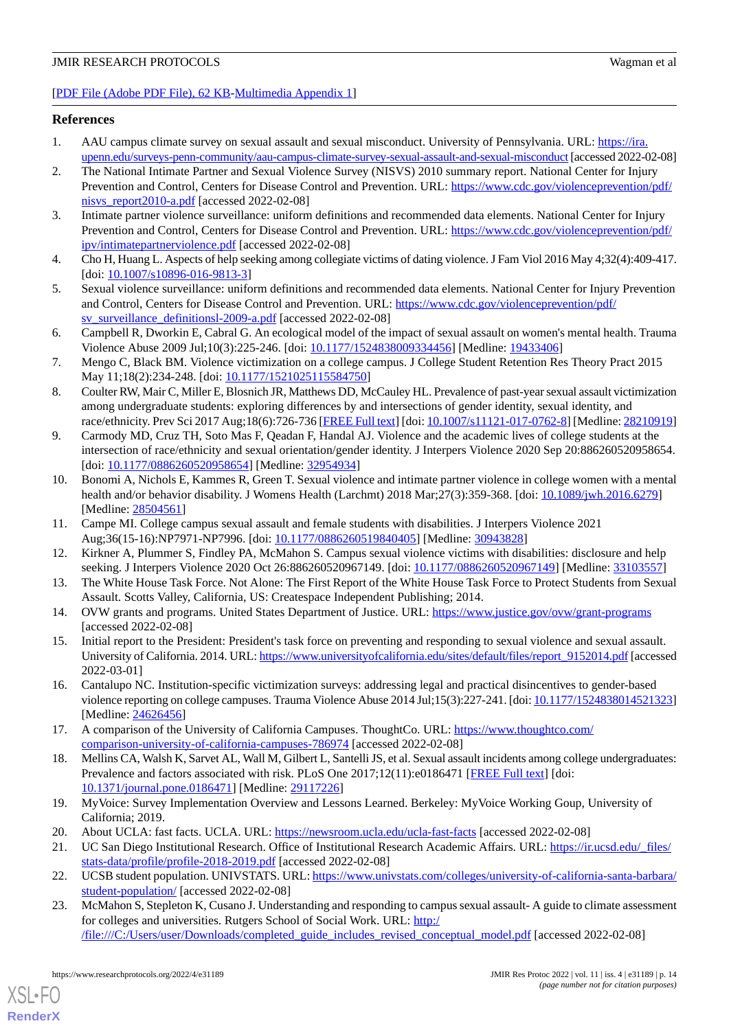### <span id="page-13-0"></span>**References**

- <span id="page-13-1"></span>1. AAU campus climate survey on sexual assault and sexual misconduct. University of Pennsylvania. URL: [https://ira.](https://ira.upenn.edu/surveys-penn-community/aau-campus-climate-survey-sexual-assault-and-sexual-misconduct) [upenn.edu/surveys-penn-community/aau-campus-climate-survey-sexual-assault-and-sexual-misconduct](https://ira.upenn.edu/surveys-penn-community/aau-campus-climate-survey-sexual-assault-and-sexual-misconduct)[accessed 2022-02-08]
- 2. The National Intimate Partner and Sexual Violence Survey (NISVS) 2010 summary report. National Center for Injury Prevention and Control, Centers for Disease Control and Prevention. URL: [https://www.cdc.gov/violenceprevention/pdf/](https://www.cdc.gov/violenceprevention/pdf/nisvs_report2010-a.pdf) nisvs report $2010$ -a.pdf [accessed 2022-02-08]
- <span id="page-13-3"></span><span id="page-13-2"></span>3. Intimate partner violence surveillance: uniform definitions and recommended data elements. National Center for Injury Prevention and Control, Centers for Disease Control and Prevention. URL: [https://www.cdc.gov/violenceprevention/pdf/](https://www.cdc.gov/violenceprevention/pdf/ipv/intimatepartnerviolence.pdf) [ipv/intimatepartnerviolence.pdf](https://www.cdc.gov/violenceprevention/pdf/ipv/intimatepartnerviolence.pdf) [accessed 2022-02-08]
- <span id="page-13-4"></span>4. Cho H, Huang L. Aspects of help seeking among collegiate victims of dating violence. J Fam Viol 2016 May 4;32(4):409-417. [doi: [10.1007/s10896-016-9813-3](http://dx.doi.org/10.1007/s10896-016-9813-3)]
- <span id="page-13-5"></span>5. Sexual violence surveillance: uniform definitions and recommended data elements. National Center for Injury Prevention and Control, Centers for Disease Control and Prevention. URL: [https://www.cdc.gov/violenceprevention/pdf/](https://www.cdc.gov/violenceprevention/pdf/sv_surveillance_definitionsl-2009-a.pdf) [sv\\_surveillance\\_definitionsl-2009-a.pdf](https://www.cdc.gov/violenceprevention/pdf/sv_surveillance_definitionsl-2009-a.pdf) [accessed 2022-02-08]
- <span id="page-13-6"></span>6. Campbell R, Dworkin E, Cabral G. An ecological model of the impact of sexual assault on women's mental health. Trauma Violence Abuse 2009 Jul;10(3):225-246. [doi: [10.1177/1524838009334456\]](http://dx.doi.org/10.1177/1524838009334456) [Medline: [19433406](http://www.ncbi.nlm.nih.gov/entrez/query.fcgi?cmd=Retrieve&db=PubMed&list_uids=19433406&dopt=Abstract)]
- <span id="page-13-7"></span>7. Mengo C, Black BM. Violence victimization on a college campus. J College Student Retention Res Theory Pract 2015 May 11;18(2):234-248. [doi: [10.1177/1521025115584750\]](http://dx.doi.org/10.1177/1521025115584750)
- <span id="page-13-8"></span>8. Coulter RW, Mair C, Miller E, Blosnich JR, Matthews DD, McCauley HL. Prevalence of past-year sexual assault victimization among undergraduate students: exploring differences by and intersections of gender identity, sexual identity, and race/ethnicity. Prev Sci 2017 Aug;18(6):726-736 [[FREE Full text\]](http://europepmc.org/abstract/MED/28210919) [doi: [10.1007/s11121-017-0762-8](http://dx.doi.org/10.1007/s11121-017-0762-8)] [Medline: [28210919](http://www.ncbi.nlm.nih.gov/entrez/query.fcgi?cmd=Retrieve&db=PubMed&list_uids=28210919&dopt=Abstract)]
- <span id="page-13-9"></span>9. Carmody MD, Cruz TH, Soto Mas F, Qeadan F, Handal AJ. Violence and the academic lives of college students at the intersection of race/ethnicity and sexual orientation/gender identity. J Interpers Violence 2020 Sep 20:886260520958654. [doi: [10.1177/0886260520958654](http://dx.doi.org/10.1177/0886260520958654)] [Medline: [32954934\]](http://www.ncbi.nlm.nih.gov/entrez/query.fcgi?cmd=Retrieve&db=PubMed&list_uids=32954934&dopt=Abstract)
- <span id="page-13-10"></span>10. Bonomi A, Nichols E, Kammes R, Green T. Sexual violence and intimate partner violence in college women with a mental health and/or behavior disability. J Womens Health (Larchmt) 2018 Mar;27(3):359-368. [doi: [10.1089/jwh.2016.6279\]](http://dx.doi.org/10.1089/jwh.2016.6279) [Medline: [28504561](http://www.ncbi.nlm.nih.gov/entrez/query.fcgi?cmd=Retrieve&db=PubMed&list_uids=28504561&dopt=Abstract)]
- <span id="page-13-11"></span>11. Campe MI. College campus sexual assault and female students with disabilities. J Interpers Violence 2021 Aug;36(15-16):NP7971-NP7996. [doi: [10.1177/0886260519840405\]](http://dx.doi.org/10.1177/0886260519840405) [Medline: [30943828\]](http://www.ncbi.nlm.nih.gov/entrez/query.fcgi?cmd=Retrieve&db=PubMed&list_uids=30943828&dopt=Abstract)
- <span id="page-13-12"></span>12. Kirkner A, Plummer S, Findley PA, McMahon S. Campus sexual violence victims with disabilities: disclosure and help seeking. J Interpers Violence 2020 Oct 26:886260520967149. [doi: [10.1177/0886260520967149](http://dx.doi.org/10.1177/0886260520967149)] [Medline: [33103557](http://www.ncbi.nlm.nih.gov/entrez/query.fcgi?cmd=Retrieve&db=PubMed&list_uids=33103557&dopt=Abstract)]
- <span id="page-13-13"></span>13. The White House Task Force. Not Alone: The First Report of the White House Task Force to Protect Students from Sexual Assault. Scotts Valley, California, US: Createspace Independent Publishing; 2014.
- <span id="page-13-14"></span>14. OVW grants and programs. United States Department of Justice. URL:<https://www.justice.gov/ovw/grant-programs> [accessed 2022-02-08]
- <span id="page-13-15"></span>15. Initial report to the President: President's task force on preventing and responding to sexual violence and sexual assault. University of California. 2014. URL: [https://www.universityofcalifornia.edu/sites/default/files/report\\_9152014.pdf](https://www.universityofcalifornia.edu/sites/default/files/report_9152014.pdf) [accessed] 2022-03-01]
- <span id="page-13-16"></span>16. Cantalupo NC. Institution-specific victimization surveys: addressing legal and practical disincentives to gender-based violence reporting on college campuses. Trauma Violence Abuse 2014 Jul;15(3):227-241. [doi: [10.1177/1524838014521323](http://dx.doi.org/10.1177/1524838014521323)] [Medline: [24626456](http://www.ncbi.nlm.nih.gov/entrez/query.fcgi?cmd=Retrieve&db=PubMed&list_uids=24626456&dopt=Abstract)]
- <span id="page-13-17"></span>17. A comparison of the University of California Campuses. ThoughtCo. URL: [https://www.thoughtco.com/](https://www.thoughtco.com/comparison-university-of-california-campuses-786974) [comparison-university-of-california-campuses-786974](https://www.thoughtco.com/comparison-university-of-california-campuses-786974) [accessed 2022-02-08]
- <span id="page-13-18"></span>18. Mellins CA, Walsh K, Sarvet AL, Wall M, Gilbert L, Santelli JS, et al. Sexual assault incidents among college undergraduates: Prevalence and factors associated with risk. PLoS One 2017;12(11):e0186471 [\[FREE Full text\]](https://dx.plos.org/10.1371/journal.pone.0186471) [doi: [10.1371/journal.pone.0186471\]](http://dx.doi.org/10.1371/journal.pone.0186471) [Medline: [29117226](http://www.ncbi.nlm.nih.gov/entrez/query.fcgi?cmd=Retrieve&db=PubMed&list_uids=29117226&dopt=Abstract)]
- <span id="page-13-20"></span><span id="page-13-19"></span>19. MyVoice: Survey Implementation Overview and Lessons Learned. Berkeley: MyVoice Working Goup, University of California; 2019.
- 20. About UCLA: fast facts. UCLA. URL: <https://newsroom.ucla.edu/ucla-fast-facts> [accessed 2022-02-08]
- 21. UC San Diego Institutional Research. Office of Institutional Research Academic Affairs. URL: [https://ir.ucsd.edu/\\_files/](https://ir.ucsd.edu/_files/stats-data/profile/profile-2018-2019.pdf) [stats-data/profile/profile-2018-2019.pdf](https://ir.ucsd.edu/_files/stats-data/profile/profile-2018-2019.pdf) [accessed 2022-02-08]
- 22. UCSB student population. UNIVSTATS. URL: [https://www.univstats.com/colleges/university-of-california-santa-barbara/](https://www.univstats.com/colleges/university-of-california-santa-barbara/student-population/) [student-population/](https://www.univstats.com/colleges/university-of-california-santa-barbara/student-population/) [accessed 2022-02-08]
- 23. McMahon S, Stepleton K, Cusano J. Understanding and responding to campus sexual assault- A guide to climate assessment for colleges and universities. Rutgers School of Social Work. URL: [http:/](http://file:///C:/Users/user/Downloads/completed_guide_includes_revised_conceptual_model.pdf) [/file:///C:/Users/user/Downloads/completed\\_guide\\_includes\\_revised\\_conceptual\\_model.pdf](http://file:///C:/Users/user/Downloads/completed_guide_includes_revised_conceptual_model.pdf) [accessed 2022-02-08]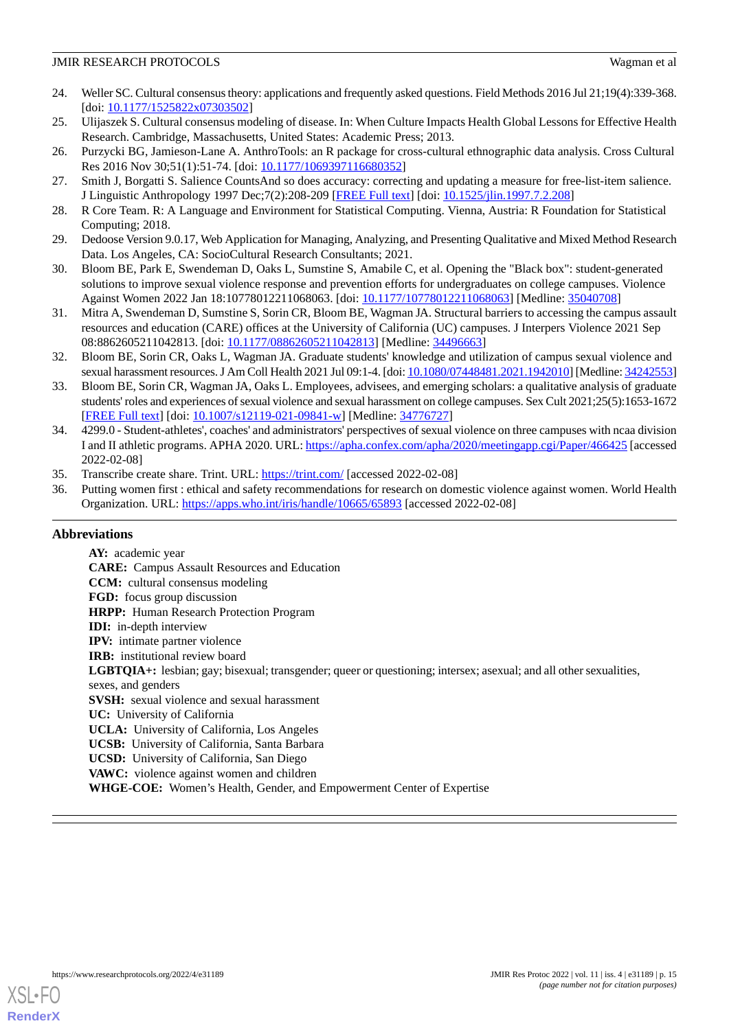- <span id="page-14-0"></span>24. Weller SC. Cultural consensus theory: applications and frequently asked questions. Field Methods 2016 Jul 21;19(4):339-368. [doi: [10.1177/1525822x07303502](http://dx.doi.org/10.1177/1525822x07303502)]
- <span id="page-14-2"></span><span id="page-14-1"></span>25. Ulijaszek S. Cultural consensus modeling of disease. In: When Culture Impacts Health Global Lessons for Effective Health Research. Cambridge, Massachusetts, United States: Academic Press; 2013.
- <span id="page-14-3"></span>26. Purzycki BG, Jamieson-Lane A. AnthroTools: an R package for cross-cultural ethnographic data analysis. Cross Cultural Res 2016 Nov 30;51(1):51-74. [doi: [10.1177/1069397116680352](http://dx.doi.org/10.1177/1069397116680352)]
- <span id="page-14-4"></span>27. Smith J, Borgatti S. Salience CountsAnd so does accuracy: correcting and updating a measure for free-list-item salience. J Linguistic Anthropology 1997 Dec;7(2):208-209 [[FREE Full text\]](https://doi.org/10.1525/jlin.1997.7.2.208) [doi: [10.1525/jlin.1997.7.2.208\]](http://dx.doi.org/10.1525/jlin.1997.7.2.208)
- <span id="page-14-5"></span>28. R Core Team. R: A Language and Environment for Statistical Computing. Vienna, Austria: R Foundation for Statistical Computing; 2018.
- <span id="page-14-6"></span>29. Dedoose Version 9.0.17, Web Application for Managing, Analyzing, and Presenting Qualitative and Mixed Method Research Data. Los Angeles, CA: SocioCultural Research Consultants; 2021.
- 30. Bloom BE, Park E, Swendeman D, Oaks L, Sumstine S, Amabile C, et al. Opening the "Black box": student-generated solutions to improve sexual violence response and prevention efforts for undergraduates on college campuses. Violence Against Women 2022 Jan 18:10778012211068063. [doi: [10.1177/10778012211068063](http://dx.doi.org/10.1177/10778012211068063)] [Medline: [35040708\]](http://www.ncbi.nlm.nih.gov/entrez/query.fcgi?cmd=Retrieve&db=PubMed&list_uids=35040708&dopt=Abstract)
- 31. Mitra A, Swendeman D, Sumstine S, Sorin CR, Bloom BE, Wagman JA. Structural barriers to accessing the campus assault resources and education (CARE) offices at the University of California (UC) campuses. J Interpers Violence 2021 Sep 08:8862605211042813. [doi: [10.1177/08862605211042813\]](http://dx.doi.org/10.1177/08862605211042813) [Medline: [34496663\]](http://www.ncbi.nlm.nih.gov/entrez/query.fcgi?cmd=Retrieve&db=PubMed&list_uids=34496663&dopt=Abstract)
- 32. Bloom BE, Sorin CR, Oaks L, Wagman JA. Graduate students' knowledge and utilization of campus sexual violence and sexual harassment resources. J Am Coll Health 2021 Jul 09:1-4. [doi: [10.1080/07448481.2021.1942010](http://dx.doi.org/10.1080/07448481.2021.1942010)] [Medline: [34242553\]](http://www.ncbi.nlm.nih.gov/entrez/query.fcgi?cmd=Retrieve&db=PubMed&list_uids=34242553&dopt=Abstract)
- <span id="page-14-7"></span>33. Bloom BE, Sorin CR, Wagman JA, Oaks L. Employees, advisees, and emerging scholars: a qualitative analysis of graduate students' roles and experiences of sexual violence and sexual harassment on college campuses. Sex Cult 2021;25(5):1653-1672 [[FREE Full text](http://europepmc.org/abstract/MED/34776727)] [doi: [10.1007/s12119-021-09841-w\]](http://dx.doi.org/10.1007/s12119-021-09841-w) [Medline: [34776727\]](http://www.ncbi.nlm.nih.gov/entrez/query.fcgi?cmd=Retrieve&db=PubMed&list_uids=34776727&dopt=Abstract)
- <span id="page-14-9"></span><span id="page-14-8"></span>34. 4299.0 - Student-athletes', coaches' and administrators' perspectives of sexual violence on three campuses with ncaa division I and II athletic programs. APHA 2020. URL:<https://apha.confex.com/apha/2020/meetingapp.cgi/Paper/466425> [accessed 2022-02-08]
- 35. Transcribe create share. Trint. URL: <https://trint.com/> [accessed 2022-02-08]
- 36. Putting women first : ethical and safety recommendations for research on domestic violence against women. World Health Organization. URL: <https://apps.who.int/iris/handle/10665/65893> [accessed 2022-02-08]

# **Abbreviations**

**AY:** academic year **CARE:** Campus Assault Resources and Education **CCM:** cultural consensus modeling **FGD:** focus group discussion **HRPP:** Human Research Protection Program **IDI:** in-depth interview **IPV:** intimate partner violence **IRB:** institutional review board **LGBTQIA+:** lesbian; gay; bisexual; transgender; queer or questioning; intersex; asexual; and all other sexualities, sexes, and genders **SVSH:** sexual violence and sexual harassment **UC:** University of California **UCLA:** University of California, Los Angeles **UCSB:** University of California, Santa Barbara **UCSD:** University of California, San Diego **VAWC:** violence against women and children **WHGE-COE:** Women's Health, Gender, and Empowerment Center of Expertise